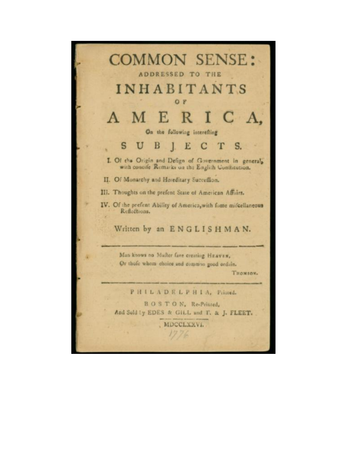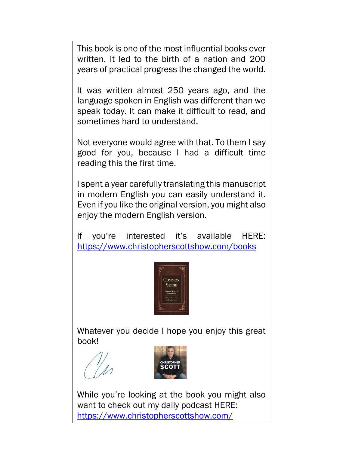This book is one of the most influential books ever written. It led to the birth of a nation and 200 years of practical progress the changed the world.

It was written almost 250 years ago, and the language spoken in English was different than we speak today. It can make it difficult to read, and sometimes hard to understand.

Not everyone would agree with that. To them I say good for you, because I had a difficult time reading this the first time.

I spent a year carefully translating this manuscript in modern English you can easily understand it. Even if you like the original version, you might also enjoy the modern English version.

If you're interested it's available HERE: <https://www.christopherscottshow.com/books>



Whatever you decide I hope you enjoy this great book!



While you're looking at the book you might also want to check out my daily podcast HERE: <https://www.christopherscottshow.com/>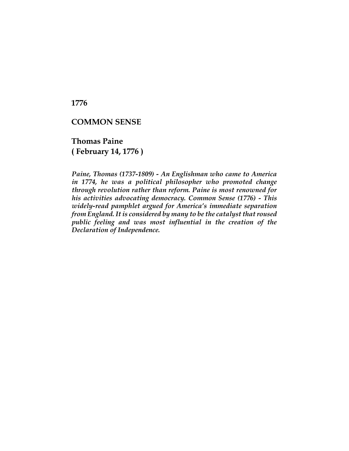**1776**

## **COMMON SENSE**

**Thomas Paine ( February 14, 1776 )**

*Paine, Thomas (1737-1809) - An Englishman who came to America in 1774, he was a political philosopher who promoted change through revolution rather than reform. Paine is most renowned for his activities advocating democracy. Common Sense (1776) - This widely-read pamphlet argued for America's immediate separation from England. It is considered by many to be the catalyst that roused public feeling and was most influential in the creation of the Declaration of Independence.*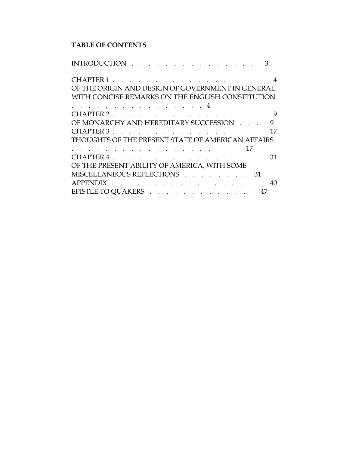# **TABLE OF CONTENTS**

| INTRODUCTION                                       |
|----------------------------------------------------|
| CHAPTER 1                                          |
| OF THE ORIGIN AND DESIGN OF GOVERNMENT IN GENERAL. |
| WITH CONCISE REMARKS ON THE ENGLISH CONSTITUTION.  |
| . 4                                                |
| CHAPTER 2<br>9                                     |
| OF MONARCHY AND HEREDITARY SUCCESSION<br>9         |
| CHAPTER 3<br>17                                    |
| THOUGHTS OF THE PRESENT STATE OF AMERICAN AFFAIRS. |
| 17                                                 |
| CHAPTER 4.<br>31                                   |
| OF THE PRESENT ABILITY OF AMERICA, WITH SOME       |
| MISCELLANEOUS REFLECTIONS<br>31                    |
| APPENDIX<br>40                                     |
| EPISTLE TO QUAKERS 47                              |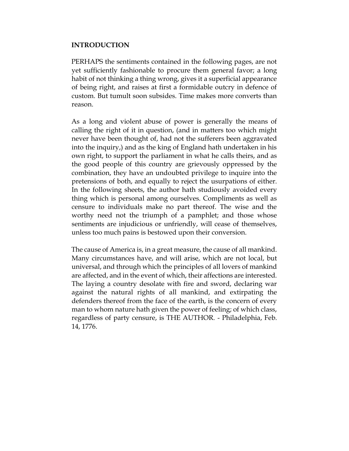## **INTRODUCTION**

PERHAPS the sentiments contained in the following pages, are not yet sufficiently fashionable to procure them general favor; a long habit of not thinking a thing wrong, gives it a superficial appearance of being right, and raises at first a formidable outcry in defence of custom. But tumult soon subsides. Time makes more converts than reason.

As a long and violent abuse of power is generally the means of calling the right of it in question, (and in matters too which might never have been thought of, had not the sufferers been aggravated into the inquiry,) and as the king of England hath undertaken in his own right, to support the parliament in what he calls theirs, and as the good people of this country are grievously oppressed by the combination, they have an undoubted privilege to inquire into the pretensions of both, and equally to reject the usurpations of either. In the following sheets, the author hath studiously avoided every thing which is personal among ourselves. Compliments as well as censure to individuals make no part thereof. The wise and the worthy need not the triumph of a pamphlet; and those whose sentiments are injudicious or unfriendly, will cease of themselves, unless too much pains is bestowed upon their conversion.

The cause of America is, in a great measure, the cause of all mankind. Many circumstances have, and will arise, which are not local, but universal, and through which the principles of all lovers of mankind are affected, and in the event of which, their affections are interested. The laying a country desolate with fire and sword, declaring war against the natural rights of all mankind, and extirpating the defenders thereof from the face of the earth, is the concern of every man to whom nature hath given the power of feeling; of which class, regardless of party censure, is THE AUTHOR. - Philadelphia, Feb. 14, 1776.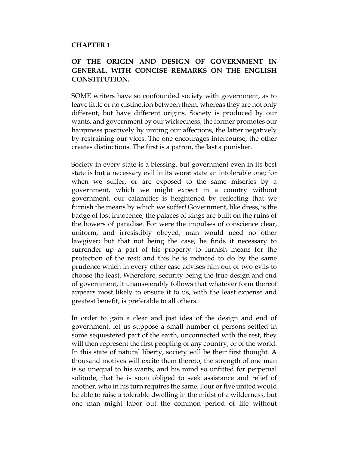## **CHAPTER 1**

## **OF THE ORIGIN AND DESIGN OF GOVERNMENT IN GENERAL. WITH CONCISE REMARKS ON THE ENGLISH CONSTITUTION.**

SOME writers have so confounded society with government, as to leave little or no distinction between them; whereas they are not only different, but have different origins. Society is produced by our wants, and government by our wickedness; the former promotes our happiness positively by uniting our affections, the latter negatively by restraining our vices. The one encourages intercourse, the other creates distinctions. The first is a patron, the last a punisher.

Society in every state is a blessing, but government even in its best state is but a necessary evil in its worst state an intolerable one; for when we suffer, or are exposed to the same miseries by a government, which we might expect in a country without government, our calamities is heightened by reflecting that we furnish the means by which we suffer! Government, like dress, is the badge of lost innocence; the palaces of kings are built on the ruins of the bowers of paradise. For were the impulses of conscience clear, uniform, and irresistibly obeyed, man would need no other lawgiver; but that not being the case, he finds it necessary to surrender up a part of his property to furnish means for the protection of the rest; and this he is induced to do by the same prudence which in every other case advises him out of two evils to choose the least. Wherefore, security being the true design and end of government, it unanswerably follows that whatever form thereof appears most likely to ensure it to us, with the least expense and greatest benefit, is preferable to all others.

In order to gain a clear and just idea of the design and end of government, let us suppose a small number of persons settled in some sequestered part of the earth, unconnected with the rest, they will then represent the first peopling of any country, or of the world. In this state of natural liberty, society will be their first thought. A thousand motives will excite them thereto, the strength of one man is so unequal to his wants, and his mind so unfitted for perpetual solitude, that he is soon obliged to seek assistance and relief of another, who in his turn requires the same. Four or five united would be able to raise a tolerable dwelling in the midst of a wilderness, but one man might labor out the common period of life without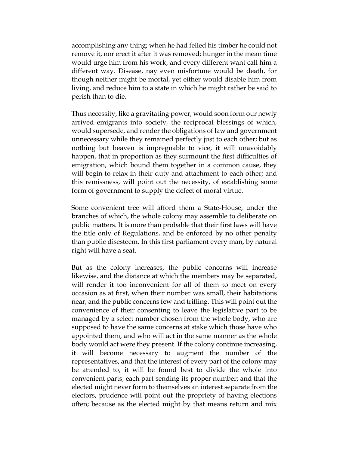accomplishing any thing; when he had felled his timber he could not remove it, nor erect it after it was removed; hunger in the mean time would urge him from his work, and every different want call him a different way. Disease, nay even misfortune would be death, for though neither might be mortal, yet either would disable him from living, and reduce him to a state in which he might rather be said to perish than to die.

Thus necessity, like a gravitating power, would soon form our newly arrived emigrants into society, the reciprocal blessings of which, would supersede, and render the obligations of law and government unnecessary while they remained perfectly just to each other; but as nothing but heaven is impregnable to vice, it will unavoidably happen, that in proportion as they surmount the first difficulties of emigration, which bound them together in a common cause, they will begin to relax in their duty and attachment to each other; and this remissness, will point out the necessity, of establishing some form of government to supply the defect of moral virtue.

Some convenient tree will afford them a State-House, under the branches of which, the whole colony may assemble to deliberate on public matters. It is more than probable that their first laws will have the title only of Regulations, and be enforced by no other penalty than public disesteem. In this first parliament every man, by natural right will have a seat.

But as the colony increases, the public concerns will increase likewise, and the distance at which the members may be separated, will render it too inconvenient for all of them to meet on every occasion as at first, when their number was small, their habitations near, and the public concerns few and trifling. This will point out the convenience of their consenting to leave the legislative part to be managed by a select number chosen from the whole body, who are supposed to have the same concerns at stake which those have who appointed them, and who will act in the same manner as the whole body would act were they present. If the colony continue increasing, it will become necessary to augment the number of the representatives, and that the interest of every part of the colony may be attended to, it will be found best to divide the whole into convenient parts, each part sending its proper number; and that the elected might never form to themselves an interest separate from the electors, prudence will point out the propriety of having elections often; because as the elected might by that means return and mix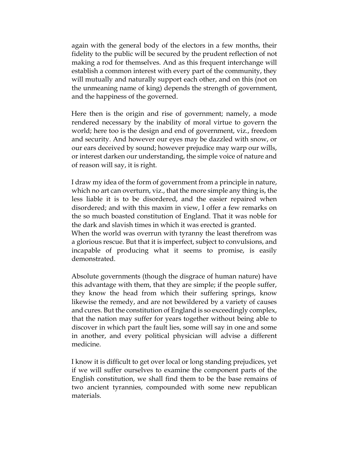again with the general body of the electors in a few months, their fidelity to the public will be secured by the prudent reflection of not making a rod for themselves. And as this frequent interchange will establish a common interest with every part of the community, they will mutually and naturally support each other, and on this (not on the unmeaning name of king) depends the strength of government, and the happiness of the governed.

Here then is the origin and rise of government; namely, a mode rendered necessary by the inability of moral virtue to govern the world; here too is the design and end of government, viz., freedom and security. And however our eyes may be dazzled with snow, or our ears deceived by sound; however prejudice may warp our wills, or interest darken our understanding, the simple voice of nature and of reason will say, it is right.

I draw my idea of the form of government from a principle in nature, which no art can overturn, viz., that the more simple any thing is, the less liable it is to be disordered, and the easier repaired when disordered; and with this maxim in view, I offer a few remarks on the so much boasted constitution of England. That it was noble for the dark and slavish times in which it was erected is granted.

When the world was overrun with tyranny the least therefrom was a glorious rescue. But that it is imperfect, subject to convulsions, and incapable of producing what it seems to promise, is easily demonstrated.

Absolute governments (though the disgrace of human nature) have this advantage with them, that they are simple; if the people suffer, they know the head from which their suffering springs, know likewise the remedy, and are not bewildered by a variety of causes and cures. But the constitution of England is so exceedingly complex, that the nation may suffer for years together without being able to discover in which part the fault lies, some will say in one and some in another, and every political physician will advise a different medicine.

I know it is difficult to get over local or long standing prejudices, yet if we will suffer ourselves to examine the component parts of the English constitution, we shall find them to be the base remains of two ancient tyrannies, compounded with some new republican materials.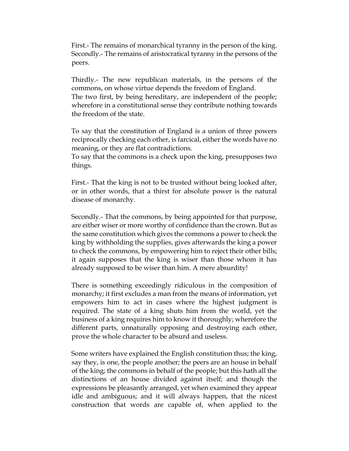First.- The remains of monarchical tyranny in the person of the king. Secondly.- The remains of aristocratical tyranny in the persons of the peers.

Thirdly.- The new republican materials, in the persons of the commons, on whose virtue depends the freedom of England.

The two first, by being hereditary, are independent of the people; wherefore in a constitutional sense they contribute nothing towards the freedom of the state.

To say that the constitution of England is a union of three powers reciprocally checking each other, is farcical, either the words have no meaning, or they are flat contradictions.

To say that the commons is a check upon the king, presupposes two things.

First.- That the king is not to be trusted without being looked after, or in other words, that a thirst for absolute power is the natural disease of monarchy.

Secondly.- That the commons, by being appointed for that purpose, are either wiser or more worthy of confidence than the crown. But as the same constitution which gives the commons a power to check the king by withholding the supplies, gives afterwards the king a power to check the commons, by empowering him to reject their other bills; it again supposes that the king is wiser than those whom it has already supposed to be wiser than him. A mere absurdity!

There is something exceedingly ridiculous in the composition of monarchy; it first excludes a man from the means of information, yet empowers him to act in cases where the highest judgment is required. The state of a king shuts him from the world, yet the business of a king requires him to know it thoroughly; wherefore the different parts, unnaturally opposing and destroying each other, prove the whole character to be absurd and useless.

Some writers have explained the English constitution thus; the king, say they, is one, the people another; the peers are an house in behalf of the king; the commons in behalf of the people; but this hath all the distinctions of an house divided against itself; and though the expressions be pleasantly arranged, yet when examined they appear idle and ambiguous; and it will always happen, that the nicest construction that words are capable of, when applied to the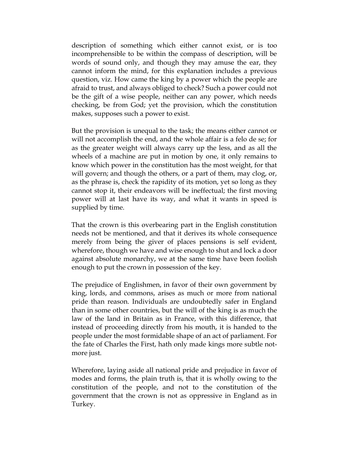description of something which either cannot exist, or is too incomprehensible to be within the compass of description, will be words of sound only, and though they may amuse the ear, they cannot inform the mind, for this explanation includes a previous question, viz. How came the king by a power which the people are afraid to trust, and always obliged to check? Such a power could not be the gift of a wise people, neither can any power, which needs checking, be from God; yet the provision, which the constitution makes, supposes such a power to exist.

But the provision is unequal to the task; the means either cannot or will not accomplish the end, and the whole affair is a felo de se; for as the greater weight will always carry up the less, and as all the wheels of a machine are put in motion by one, it only remains to know which power in the constitution has the most weight, for that will govern; and though the others, or a part of them, may clog, or, as the phrase is, check the rapidity of its motion, yet so long as they cannot stop it, their endeavors will be ineffectual; the first moving power will at last have its way, and what it wants in speed is supplied by time.

That the crown is this overbearing part in the English constitution needs not be mentioned, and that it derives its whole consequence merely from being the giver of places pensions is self evident, wherefore, though we have and wise enough to shut and lock a door against absolute monarchy, we at the same time have been foolish enough to put the crown in possession of the key.

The prejudice of Englishmen, in favor of their own government by king, lords, and commons, arises as much or more from national pride than reason. Individuals are undoubtedly safer in England than in some other countries, but the will of the king is as much the law of the land in Britain as in France, with this difference, that instead of proceeding directly from his mouth, it is handed to the people under the most formidable shape of an act of parliament. For the fate of Charles the First, hath only made kings more subtle notmore just.

Wherefore, laying aside all national pride and prejudice in favor of modes and forms, the plain truth is, that it is wholly owing to the constitution of the people, and not to the constitution of the government that the crown is not as oppressive in England as in Turkey.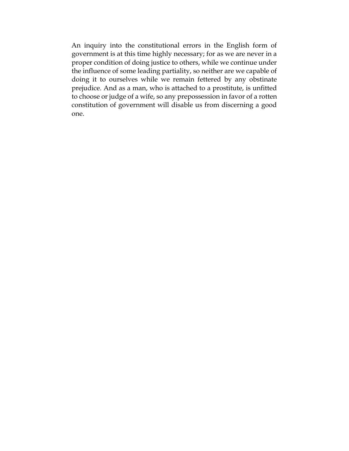An inquiry into the constitutional errors in the English form of government is at this time highly necessary; for as we are never in a proper condition of doing justice to others, while we continue under the influence of some leading partiality, so neither are we capable of doing it to ourselves while we remain fettered by any obstinate prejudice. And as a man, who is attached to a prostitute, is unfitted to choose or judge of a wife, so any prepossession in favor of a rotten constitution of government will disable us from discerning a good one.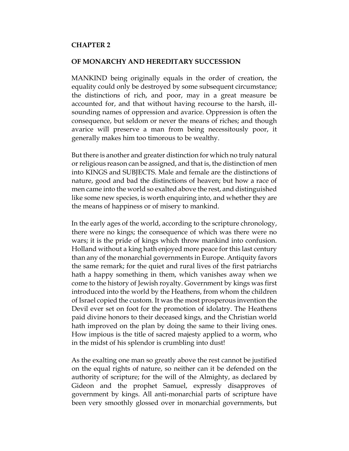### **CHAPTER 2**

### **OF MONARCHY AND HEREDITARY SUCCESSION**

MANKIND being originally equals in the order of creation, the equality could only be destroyed by some subsequent circumstance; the distinctions of rich, and poor, may in a great measure be accounted for, and that without having recourse to the harsh, illsounding names of oppression and avarice. Oppression is often the consequence, but seldom or never the means of riches; and though avarice will preserve a man from being necessitously poor, it generally makes him too timorous to be wealthy.

But there is another and greater distinction for which no truly natural or religious reason can be assigned, and that is, the distinction of men into KINGS and SUBJECTS. Male and female are the distinctions of nature, good and bad the distinctions of heaven; but how a race of men came into the world so exalted above the rest, and distinguished like some new species, is worth enquiring into, and whether they are the means of happiness or of misery to mankind.

In the early ages of the world, according to the scripture chronology, there were no kings; the consequence of which was there were no wars; it is the pride of kings which throw mankind into confusion. Holland without a king hath enjoyed more peace for this last century than any of the monarchial governments in Europe. Antiquity favors the same remark; for the quiet and rural lives of the first patriarchs hath a happy something in them, which vanishes away when we come to the history of Jewish royalty. Government by kings was first introduced into the world by the Heathens, from whom the children of Israel copied the custom. It was the most prosperous invention the Devil ever set on foot for the promotion of idolatry. The Heathens paid divine honors to their deceased kings, and the Christian world hath improved on the plan by doing the same to their living ones. How impious is the title of sacred majesty applied to a worm, who in the midst of his splendor is crumbling into dust!

As the exalting one man so greatly above the rest cannot be justified on the equal rights of nature, so neither can it be defended on the authority of scripture; for the will of the Almighty, as declared by Gideon and the prophet Samuel, expressly disapproves of government by kings. All anti-monarchial parts of scripture have been very smoothly glossed over in monarchial governments, but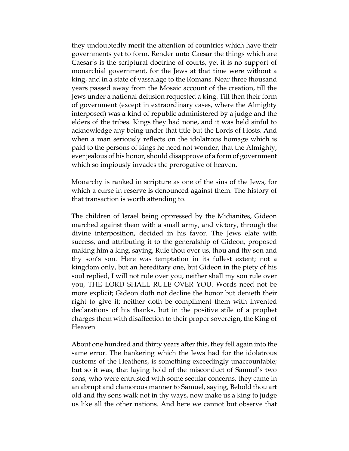they undoubtedly merit the attention of countries which have their governments yet to form. Render unto Caesar the things which are Caesar's is the scriptural doctrine of courts, yet it is no support of monarchial government, for the Jews at that time were without a king, and in a state of vassalage to the Romans. Near three thousand years passed away from the Mosaic account of the creation, till the Jews under a national delusion requested a king. Till then their form of government (except in extraordinary cases, where the Almighty interposed) was a kind of republic administered by a judge and the elders of the tribes. Kings they had none, and it was held sinful to acknowledge any being under that title but the Lords of Hosts. And when a man seriously reflects on the idolatrous homage which is paid to the persons of kings he need not wonder, that the Almighty, ever jealous of his honor, should disapprove of a form of government which so impiously invades the prerogative of heaven.

Monarchy is ranked in scripture as one of the sins of the Jews, for which a curse in reserve is denounced against them. The history of that transaction is worth attending to.

The children of Israel being oppressed by the Midianites, Gideon marched against them with a small army, and victory, through the divine interposition, decided in his favor. The Jews elate with success, and attributing it to the generalship of Gideon, proposed making him a king, saying, Rule thou over us, thou and thy son and thy son's son. Here was temptation in its fullest extent; not a kingdom only, but an hereditary one, but Gideon in the piety of his soul replied, I will not rule over you, neither shall my son rule over you, THE LORD SHALL RULE OVER YOU. Words need not be more explicit; Gideon doth not decline the honor but denieth their right to give it; neither doth be compliment them with invented declarations of his thanks, but in the positive stile of a prophet charges them with disaffection to their proper sovereign, the King of Heaven.

About one hundred and thirty years after this, they fell again into the same error. The hankering which the Jews had for the idolatrous customs of the Heathens, is something exceedingly unaccountable; but so it was, that laying hold of the misconduct of Samuel's two sons, who were entrusted with some secular concerns, they came in an abrupt and clamorous manner to Samuel, saying, Behold thou art old and thy sons walk not in thy ways, now make us a king to judge us like all the other nations. And here we cannot but observe that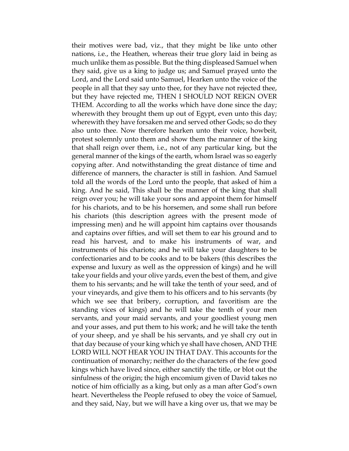their motives were bad, viz., that they might be like unto other nations, i.e., the Heathen, whereas their true glory laid in being as much unlike them as possible. But the thing displeased Samuel when they said, give us a king to judge us; and Samuel prayed unto the Lord, and the Lord said unto Samuel, Hearken unto the voice of the people in all that they say unto thee, for they have not rejected thee, but they have rejected me, THEN I SHOULD NOT REIGN OVER THEM. According to all the works which have done since the day; wherewith they brought them up out of Egypt, even unto this day; wherewith they have forsaken me and served other Gods; so do they also unto thee. Now therefore hearken unto their voice, howbeit, protest solemnly unto them and show them the manner of the king that shall reign over them, i.e., not of any particular king, but the general manner of the kings of the earth, whom Israel was so eagerly copying after. And notwithstanding the great distance of time and difference of manners, the character is still in fashion. And Samuel told all the words of the Lord unto the people, that asked of him a king. And he said, This shall be the manner of the king that shall reign over you; he will take your sons and appoint them for himself for his chariots, and to be his horsemen, and some shall run before his chariots (this description agrees with the present mode of impressing men) and he will appoint him captains over thousands and captains over fifties, and will set them to ear his ground and to read his harvest, and to make his instruments of war, and instruments of his chariots; and he will take your daughters to be confectionaries and to be cooks and to be bakers (this describes the expense and luxury as well as the oppression of kings) and he will take your fields and your olive yards, even the best of them, and give them to his servants; and he will take the tenth of your seed, and of your vineyards, and give them to his officers and to his servants (by which we see that bribery, corruption, and favoritism are the standing vices of kings) and he will take the tenth of your men servants, and your maid servants, and your goodliest young men and your asses, and put them to his work; and he will take the tenth of your sheep, and ye shall be his servants, and ye shall cry out in that day because of your king which ye shall have chosen, AND THE LORD WILL NOT HEAR YOU IN THAT DAY. This accounts for the continuation of monarchy; neither do the characters of the few good kings which have lived since, either sanctify the title, or blot out the sinfulness of the origin; the high encomium given of David takes no notice of him officially as a king, but only as a man after God's own heart. Nevertheless the People refused to obey the voice of Samuel, and they said, Nay, but we will have a king over us, that we may be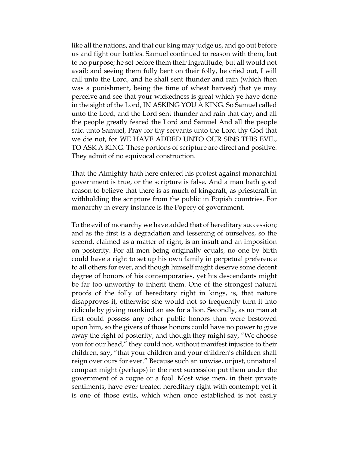like all the nations, and that our king may judge us, and go out before us and fight our battles. Samuel continued to reason with them, but to no purpose; he set before them their ingratitude, but all would not avail; and seeing them fully bent on their folly, he cried out, I will call unto the Lord, and he shall sent thunder and rain (which then was a punishment, being the time of wheat harvest) that ye may perceive and see that your wickedness is great which ye have done in the sight of the Lord, IN ASKING YOU A KING. So Samuel called unto the Lord, and the Lord sent thunder and rain that day, and all the people greatly feared the Lord and Samuel And all the people said unto Samuel, Pray for thy servants unto the Lord thy God that we die not, for WE HAVE ADDED UNTO OUR SINS THIS EVIL, TO ASK A KING. These portions of scripture are direct and positive. They admit of no equivocal construction.

That the Almighty hath here entered his protest against monarchial government is true, or the scripture is false. And a man hath good reason to believe that there is as much of kingcraft, as priestcraft in withholding the scripture from the public in Popish countries. For monarchy in every instance is the Popery of government.

To the evil of monarchy we have added that of hereditary succession; and as the first is a degradation and lessening of ourselves, so the second, claimed as a matter of right, is an insult and an imposition on posterity. For all men being originally equals, no one by birth could have a right to set up his own family in perpetual preference to all others for ever, and though himself might deserve some decent degree of honors of his contemporaries, yet his descendants might be far too unworthy to inherit them. One of the strongest natural proofs of the folly of hereditary right in kings, is, that nature disapproves it, otherwise she would not so frequently turn it into ridicule by giving mankind an ass for a lion. Secondly, as no man at first could possess any other public honors than were bestowed upon him, so the givers of those honors could have no power to give away the right of posterity, and though they might say, "We choose you for our head," they could not, without manifest injustice to their children, say, "that your children and your children's children shall reign over ours for ever." Because such an unwise, unjust, unnatural compact might (perhaps) in the next succession put them under the government of a rogue or a fool. Most wise men, in their private sentiments, have ever treated hereditary right with contempt; yet it is one of those evils, which when once established is not easily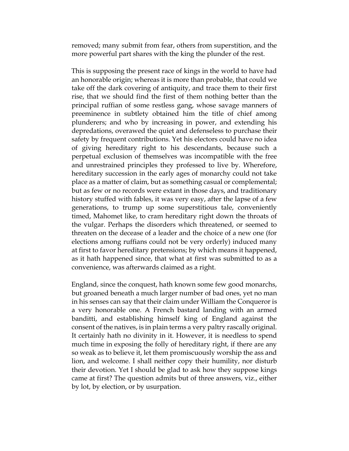removed; many submit from fear, others from superstition, and the more powerful part shares with the king the plunder of the rest.

This is supposing the present race of kings in the world to have had an honorable origin; whereas it is more than probable, that could we take off the dark covering of antiquity, and trace them to their first rise, that we should find the first of them nothing better than the principal ruffian of some restless gang, whose savage manners of preeminence in subtlety obtained him the title of chief among plunderers; and who by increasing in power, and extending his depredations, overawed the quiet and defenseless to purchase their safety by frequent contributions. Yet his electors could have no idea of giving hereditary right to his descendants, because such a perpetual exclusion of themselves was incompatible with the free and unrestrained principles they professed to live by. Wherefore, hereditary succession in the early ages of monarchy could not take place as a matter of claim, but as something casual or complemental; but as few or no records were extant in those days, and traditionary history stuffed with fables, it was very easy, after the lapse of a few generations, to trump up some superstitious tale, conveniently timed, Mahomet like, to cram hereditary right down the throats of the vulgar. Perhaps the disorders which threatened, or seemed to threaten on the decease of a leader and the choice of a new one (for elections among ruffians could not be very orderly) induced many at first to favor hereditary pretensions; by which means it happened, as it hath happened since, that what at first was submitted to as a convenience, was afterwards claimed as a right.

England, since the conquest, hath known some few good monarchs, but groaned beneath a much larger number of bad ones, yet no man in his senses can say that their claim under William the Conqueror is a very honorable one. A French bastard landing with an armed banditti, and establishing himself king of England against the consent of the natives, is in plain terms a very paltry rascally original. It certainly hath no divinity in it. However, it is needless to spend much time in exposing the folly of hereditary right, if there are any so weak as to believe it, let them promiscuously worship the ass and lion, and welcome. I shall neither copy their humility, nor disturb their devotion. Yet I should be glad to ask how they suppose kings came at first? The question admits but of three answers, viz., either by lot, by election, or by usurpation.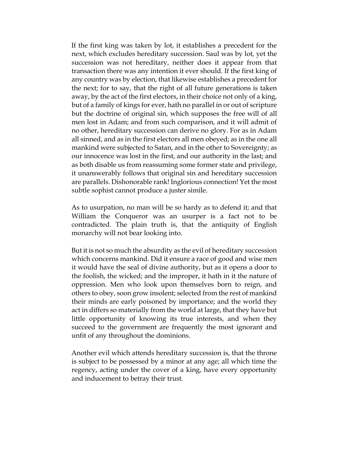If the first king was taken by lot, it establishes a precedent for the next, which excludes hereditary succession. Saul was by lot, yet the succession was not hereditary, neither does it appear from that transaction there was any intention it ever should. If the first king of any country was by election, that likewise establishes a precedent for the next; for to say, that the right of all future generations is taken away, by the act of the first electors, in their choice not only of a king, but of a family of kings for ever, hath no parallel in or out of scripture but the doctrine of original sin, which supposes the free will of all men lost in Adam; and from such comparison, and it will admit of no other, hereditary succession can derive no glory. For as in Adam all sinned, and as in the first electors all men obeyed; as in the one all mankind were subjected to Satan, and in the other to Sovereignty; as our innocence was lost in the first, and our authority in the last; and as both disable us from reassuming some former state and privilege, it unanswerably follows that original sin and hereditary succession are parallels. Dishonorable rank! Inglorious connection! Yet the most subtle sophist cannot produce a juster simile.

As to usurpation, no man will be so hardy as to defend it; and that William the Conqueror was an usurper is a fact not to be contradicted. The plain truth is, that the antiquity of English monarchy will not bear looking into.

But it is not so much the absurdity as the evil of hereditary succession which concerns mankind. Did it ensure a race of good and wise men it would have the seal of divine authority, but as it opens a door to the foolish, the wicked; and the improper, it hath in it the nature of oppression. Men who look upon themselves born to reign, and others to obey, soon grow insolent; selected from the rest of mankind their minds are early poisoned by importance; and the world they act in differs so materially from the world at large, that they have but little opportunity of knowing its true interests, and when they succeed to the government are frequently the most ignorant and unfit of any throughout the dominions.

Another evil which attends hereditary succession is, that the throne is subject to be possessed by a minor at any age; all which time the regency, acting under the cover of a king, have every opportunity and inducement to betray their trust.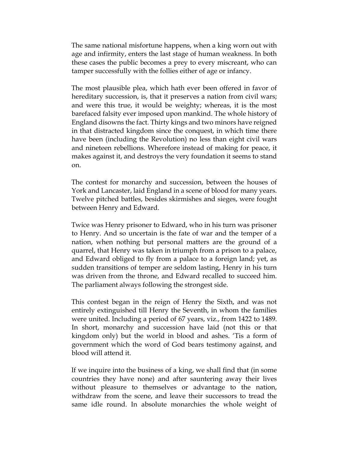The same national misfortune happens, when a king worn out with age and infirmity, enters the last stage of human weakness. In both these cases the public becomes a prey to every miscreant, who can tamper successfully with the follies either of age or infancy.

The most plausible plea, which hath ever been offered in favor of hereditary succession, is, that it preserves a nation from civil wars; and were this true, it would be weighty; whereas, it is the most barefaced falsity ever imposed upon mankind. The whole history of England disowns the fact. Thirty kings and two minors have reigned in that distracted kingdom since the conquest, in which time there have been (including the Revolution) no less than eight civil wars and nineteen rebellions. Wherefore instead of making for peace, it makes against it, and destroys the very foundation it seems to stand on.

The contest for monarchy and succession, between the houses of York and Lancaster, laid England in a scene of blood for many years. Twelve pitched battles, besides skirmishes and sieges, were fought between Henry and Edward.

Twice was Henry prisoner to Edward, who in his turn was prisoner to Henry. And so uncertain is the fate of war and the temper of a nation, when nothing but personal matters are the ground of a quarrel, that Henry was taken in triumph from a prison to a palace, and Edward obliged to fly from a palace to a foreign land; yet, as sudden transitions of temper are seldom lasting, Henry in his turn was driven from the throne, and Edward recalled to succeed him. The parliament always following the strongest side.

This contest began in the reign of Henry the Sixth, and was not entirely extinguished till Henry the Seventh, in whom the families were united. Including a period of 67 years, viz., from 1422 to 1489. In short, monarchy and succession have laid (not this or that kingdom only) but the world in blood and ashes. 'Tis a form of government which the word of God bears testimony against, and blood will attend it.

If we inquire into the business of a king, we shall find that (in some countries they have none) and after sauntering away their lives without pleasure to themselves or advantage to the nation, withdraw from the scene, and leave their successors to tread the same idle round. In absolute monarchies the whole weight of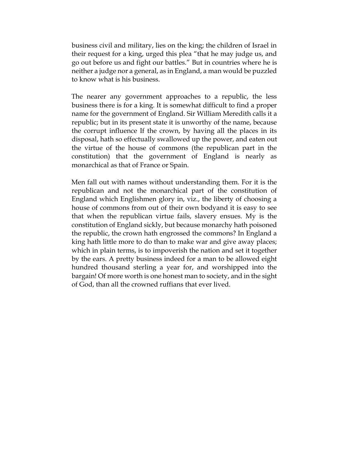business civil and military, lies on the king; the children of Israel in their request for a king, urged this plea "that he may judge us, and go out before us and fight our battles." But in countries where he is neither a judge nor a general, as in England, a man would be puzzled to know what is his business.

The nearer any government approaches to a republic, the less business there is for a king. It is somewhat difficult to find a proper name for the government of England. Sir William Meredith calls it a republic; but in its present state it is unworthy of the name, because the corrupt influence If the crown, by having all the places in its disposal, hath so effectually swallowed up the power, and eaten out the virtue of the house of commons (the republican part in the constitution) that the government of England is nearly as monarchical as that of France or Spain.

Men fall out with names without understanding them. For it is the republican and not the monarchical part of the constitution of England which Englishmen glory in, viz., the liberty of choosing a house of commons from out of their own bodyand it is easy to see that when the republican virtue fails, slavery ensues. My is the constitution of England sickly, but because monarchy hath poisoned the republic, the crown hath engrossed the commons? In England a king hath little more to do than to make war and give away places; which in plain terms, is to impoverish the nation and set it together by the ears. A pretty business indeed for a man to be allowed eight hundred thousand sterling a year for, and worshipped into the bargain! Of more worth is one honest man to society, and in the sight of God, than all the crowned ruffians that ever lived.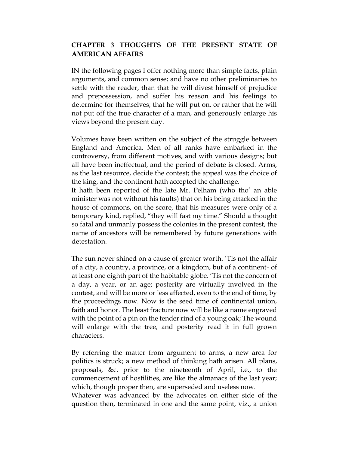## **CHAPTER 3 THOUGHTS OF THE PRESENT STATE OF AMERICAN AFFAIRS**

IN the following pages I offer nothing more than simple facts, plain arguments, and common sense; and have no other preliminaries to settle with the reader, than that he will divest himself of prejudice and prepossession, and suffer his reason and his feelings to determine for themselves; that he will put on, or rather that he will not put off the true character of a man, and generously enlarge his views beyond the present day.

Volumes have been written on the subject of the struggle between England and America. Men of all ranks have embarked in the controversy, from different motives, and with various designs; but all have been ineffectual, and the period of debate is closed. Arms, as the last resource, decide the contest; the appeal was the choice of the king, and the continent hath accepted the challenge.

It hath been reported of the late Mr. Pelham (who tho' an able minister was not without his faults) that on his being attacked in the house of commons, on the score, that his measures were only of a temporary kind, replied, "they will fast my time." Should a thought so fatal and unmanly possess the colonies in the present contest, the name of ancestors will be remembered by future generations with detestation.

The sun never shined on a cause of greater worth. 'Tis not the affair of a city, a country, a province, or a kingdom, but of a continent- of at least one eighth part of the habitable globe. 'Tis not the concern of a day, a year, or an age; posterity are virtually involved in the contest, and will be more or less affected, even to the end of time, by the proceedings now. Now is the seed time of continental union, faith and honor. The least fracture now will be like a name engraved with the point of a pin on the tender rind of a young oak; The wound will enlarge with the tree, and posterity read it in full grown characters.

By referring the matter from argument to arms, a new area for politics is struck; a new method of thinking hath arisen. All plans, proposals, &c. prior to the nineteenth of April, i.e., to the commencement of hostilities, are like the almanacs of the last year; which, though proper then, are superseded and useless now.

Whatever was advanced by the advocates on either side of the question then, terminated in one and the same point, viz., a union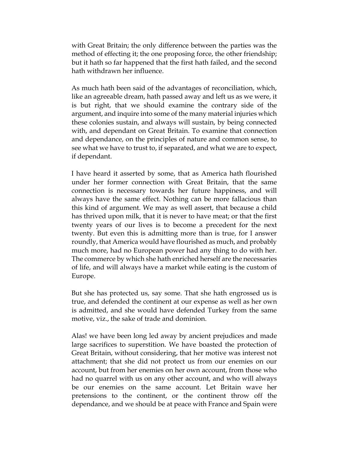with Great Britain; the only difference between the parties was the method of effecting it; the one proposing force, the other friendship; but it hath so far happened that the first hath failed, and the second hath withdrawn her influence.

As much hath been said of the advantages of reconciliation, which, like an agreeable dream, hath passed away and left us as we were, it is but right, that we should examine the contrary side of the argument, and inquire into some of the many material injuries which these colonies sustain, and always will sustain, by being connected with, and dependant on Great Britain. To examine that connection and dependance, on the principles of nature and common sense, to see what we have to trust to, if separated, and what we are to expect, if dependant.

I have heard it asserted by some, that as America hath flourished under her former connection with Great Britain, that the same connection is necessary towards her future happiness, and will always have the same effect. Nothing can be more fallacious than this kind of argument. We may as well assert, that because a child has thrived upon milk, that it is never to have meat; or that the first twenty years of our lives is to become a precedent for the next twenty. But even this is admitting more than is true, for I answer roundly, that America would have flourished as much, and probably much more, had no European power had any thing to do with her. The commerce by which she hath enriched herself are the necessaries of life, and will always have a market while eating is the custom of Europe.

But she has protected us, say some. That she hath engrossed us is true, and defended the continent at our expense as well as her own is admitted, and she would have defended Turkey from the same motive, viz., the sake of trade and dominion.

Alas! we have been long led away by ancient prejudices and made large sacrifices to superstition. We have boasted the protection of Great Britain, without considering, that her motive was interest not attachment; that she did not protect us from our enemies on our account, but from her enemies on her own account, from those who had no quarrel with us on any other account, and who will always be our enemies on the same account. Let Britain wave her pretensions to the continent, or the continent throw off the dependance, and we should be at peace with France and Spain were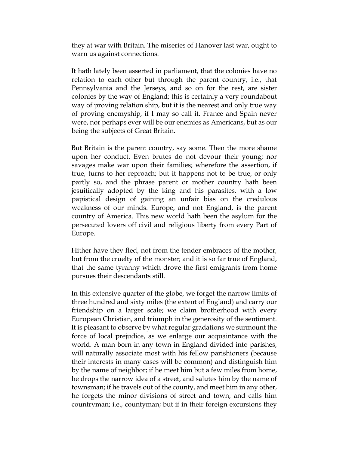they at war with Britain. The miseries of Hanover last war, ought to warn us against connections.

It hath lately been asserted in parliament, that the colonies have no relation to each other but through the parent country, i.e., that Pennsylvania and the Jerseys, and so on for the rest, are sister colonies by the way of England; this is certainly a very roundabout way of proving relation ship, but it is the nearest and only true way of proving enemyship, if I may so call it. France and Spain never were, nor perhaps ever will be our enemies as Americans, but as our being the subjects of Great Britain.

But Britain is the parent country, say some. Then the more shame upon her conduct. Even brutes do not devour their young; nor savages make war upon their families; wherefore the assertion, if true, turns to her reproach; but it happens not to be true, or only partly so, and the phrase parent or mother country hath been jesuitically adopted by the king and his parasites, with a low papistical design of gaining an unfair bias on the credulous weakness of our minds. Europe, and not England, is the parent country of America. This new world hath been the asylum for the persecuted lovers off civil and religious liberty from every Part of Europe.

Hither have they fled, not from the tender embraces of the mother, but from the cruelty of the monster; and it is so far true of England, that the same tyranny which drove the first emigrants from home pursues their descendants still.

In this extensive quarter of the globe, we forget the narrow limits of three hundred and sixty miles (the extent of England) and carry our friendship on a larger scale; we claim brotherhood with every European Christian, and triumph in the generosity of the sentiment. It is pleasant to observe by what regular gradations we surmount the force of local prejudice, as we enlarge our acquaintance with the world. A man born in any town in England divided into parishes, will naturally associate most with his fellow parishioners (because their interests in many cases will be common) and distinguish him by the name of neighbor; if he meet him but a few miles from home, he drops the narrow idea of a street, and salutes him by the name of townsman; if he travels out of the county, and meet him in any other, he forgets the minor divisions of street and town, and calls him countryman; i.e., countyman; but if in their foreign excursions they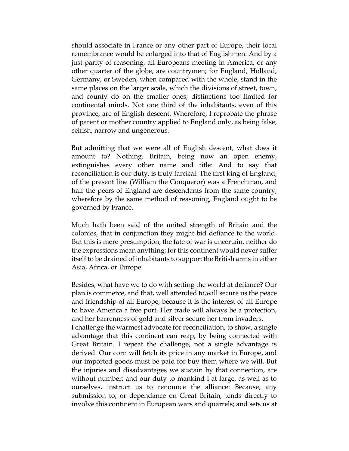should associate in France or any other part of Europe, their local remembrance would be enlarged into that of Englishmen. And by a just parity of reasoning, all Europeans meeting in America, or any other quarter of the globe, are countrymen; for England, Holland, Germany, or Sweden, when compared with the whole, stand in the same places on the larger scale, which the divisions of street, town, and county do on the smaller ones; distinctions too limited for continental minds. Not one third of the inhabitants, even of this province, are of English descent. Wherefore, I reprobate the phrase of parent or mother country applied to England only, as being false, selfish, narrow and ungenerous.

But admitting that we were all of English descent, what does it amount to? Nothing. Britain, being now an open enemy, extinguishes every other name and title: And to say that reconciliation is our duty, is truly farcical. The first king of England, of the present line (William the Conqueror) was a Frenchman, and half the peers of England are descendants from the same country; wherefore by the same method of reasoning, England ought to be governed by France.

Much hath been said of the united strength of Britain and the colonies, that in conjunction they might bid defiance to the world. But this is mere presumption; the fate of war is uncertain, neither do the expressions mean anything; for this continent would never suffer itself to be drained of inhabitants to support the British arms in either Asia, Africa, or Europe.

Besides, what have we to do with setting the world at defiance? Our plan is commerce, and that, well attended to,will secure us the peace and friendship of all Europe; because it is the interest of all Europe to have America a free port. Her trade will always be a protection, and her barrenness of gold and silver secure her from invaders.

I challenge the warmest advocate for reconciliation, to show, a single advantage that this continent can reap, by being connected with Great Britain. I repeat the challenge, not a single advantage is derived. Our corn will fetch its price in any market in Europe, and our imported goods must be paid for buy them where we will. But the injuries and disadvantages we sustain by that connection, are without number; and our duty to mankind I at large, as well as to ourselves, instruct us to renounce the alliance: Because, any submission to, or dependance on Great Britain, tends directly to involve this continent in European wars and quarrels; and sets us at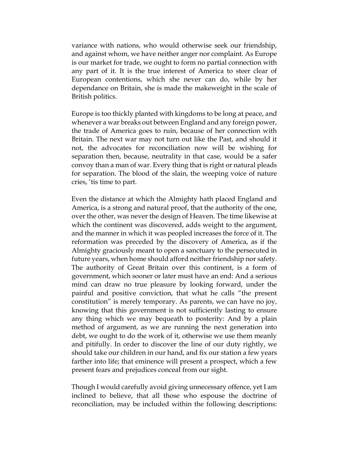variance with nations, who would otherwise seek our friendship, and against whom, we have neither anger nor complaint. As Europe is our market for trade, we ought to form no partial connection with any part of it. It is the true interest of America to steer clear of European contentions, which she never can do, while by her dependance on Britain, she is made the makeweight in the scale of British politics.

Europe is too thickly planted with kingdoms to be long at peace, and whenever a war breaks out between England and any foreign power, the trade of America goes to ruin, because of her connection with Britain. The next war may not turn out like the Past, and should it not, the advocates for reconciliation now will be wishing for separation then, because, neutrality in that case, would be a safer convoy than a man of war. Every thing that is right or natural pleads for separation. The blood of the slain, the weeping voice of nature cries, 'tis time to part.

Even the distance at which the Almighty hath placed England and America, is a strong and natural proof, that the authority of the one, over the other, was never the design of Heaven. The time likewise at which the continent was discovered, adds weight to the argument, and the manner in which it was peopled increases the force of it. The reformation was preceded by the discovery of America, as if the Almighty graciously meant to open a sanctuary to the persecuted in future years, when home should afford neither friendship nor safety. The authority of Great Britain over this continent, is a form of government, which sooner or later must have an end: And a serious mind can draw no true pleasure by looking forward, under the painful and positive conviction, that what he calls "the present constitution" is merely temporary. As parents, we can have no joy, knowing that this government is not sufficiently lasting to ensure any thing which we may bequeath to posterity: And by a plain method of argument, as we are running the next generation into debt, we ought to do the work of it, otherwise we use them meanly and pitifully. In order to discover the line of our duty rightly, we should take our children in our hand, and fix our station a few years farther into life; that eminence will present a prospect, which a few present fears and prejudices conceal from our sight.

Though I would carefully avoid giving unnecessary offence, yet I am inclined to believe, that all those who espouse the doctrine of reconciliation, may be included within the following descriptions: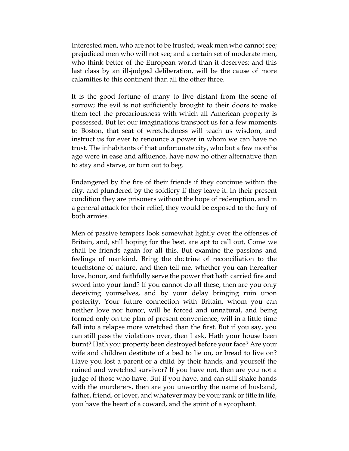Interested men, who are not to be trusted; weak men who cannot see; prejudiced men who will not see; and a certain set of moderate men, who think better of the European world than it deserves; and this last class by an ill-judged deliberation, will be the cause of more calamities to this continent than all the other three.

It is the good fortune of many to live distant from the scene of sorrow; the evil is not sufficiently brought to their doors to make them feel the precariousness with which all American property is possessed. But let our imaginations transport us for a few moments to Boston, that seat of wretchedness will teach us wisdom, and instruct us for ever to renounce a power in whom we can have no trust. The inhabitants of that unfortunate city, who but a few months ago were in ease and affluence, have now no other alternative than to stay and starve, or turn out to beg.

Endangered by the fire of their friends if they continue within the city, and plundered by the soldiery if they leave it. In their present condition they are prisoners without the hope of redemption, and in a general attack for their relief, they would be exposed to the fury of both armies.

Men of passive tempers look somewhat lightly over the offenses of Britain, and, still hoping for the best, are apt to call out, Come we shall be friends again for all this. But examine the passions and feelings of mankind. Bring the doctrine of reconciliation to the touchstone of nature, and then tell me, whether you can hereafter love, honor, and faithfully serve the power that hath carried fire and sword into your land? If you cannot do all these, then are you only deceiving yourselves, and by your delay bringing ruin upon posterity. Your future connection with Britain, whom you can neither love nor honor, will be forced and unnatural, and being formed only on the plan of present convenience, will in a little time fall into a relapse more wretched than the first. But if you say, you can still pass the violations over, then I ask, Hath your house been burnt? Hath you property been destroyed before your face? Are your wife and children destitute of a bed to lie on, or bread to live on? Have you lost a parent or a child by their hands, and yourself the ruined and wretched survivor? If you have not, then are you not a judge of those who have. But if you have, and can still shake hands with the murderers, then are you unworthy the name of husband, father, friend, or lover, and whatever may be your rank or title in life, you have the heart of a coward, and the spirit of a sycophant.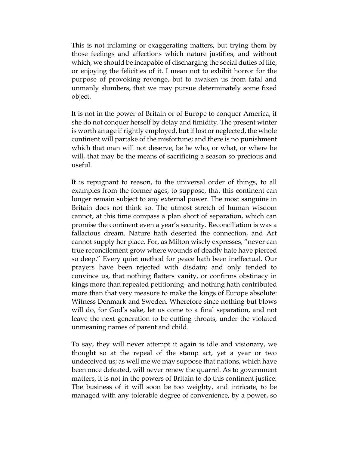This is not inflaming or exaggerating matters, but trying them by those feelings and affections which nature justifies, and without which, we should be incapable of discharging the social duties of life, or enjoying the felicities of it. I mean not to exhibit horror for the purpose of provoking revenge, but to awaken us from fatal and unmanly slumbers, that we may pursue determinately some fixed object.

It is not in the power of Britain or of Europe to conquer America, if she do not conquer herself by delay and timidity. The present winter is worth an age if rightly employed, but if lost or neglected, the whole continent will partake of the misfortune; and there is no punishment which that man will not deserve, be he who, or what, or where he will, that may be the means of sacrificing a season so precious and useful.

It is repugnant to reason, to the universal order of things, to all examples from the former ages, to suppose, that this continent can longer remain subject to any external power. The most sanguine in Britain does not think so. The utmost stretch of human wisdom cannot, at this time compass a plan short of separation, which can promise the continent even a year's security. Reconciliation is was a fallacious dream. Nature hath deserted the connection, and Art cannot supply her place. For, as Milton wisely expresses, "never can true reconcilement grow where wounds of deadly hate have pierced so deep." Every quiet method for peace hath been ineffectual. Our prayers have been rejected with disdain; and only tended to convince us, that nothing flatters vanity, or confirms obstinacy in kings more than repeated petitioning- and nothing hath contributed more than that very measure to make the kings of Europe absolute: Witness Denmark and Sweden. Wherefore since nothing but blows will do, for God's sake, let us come to a final separation, and not leave the next generation to be cutting throats, under the violated unmeaning names of parent and child.

To say, they will never attempt it again is idle and visionary, we thought so at the repeal of the stamp act, yet a year or two undeceived us; as well me we may suppose that nations, which have been once defeated, will never renew the quarrel. As to government matters, it is not in the powers of Britain to do this continent justice: The business of it will soon be too weighty, and intricate, to be managed with any tolerable degree of convenience, by a power, so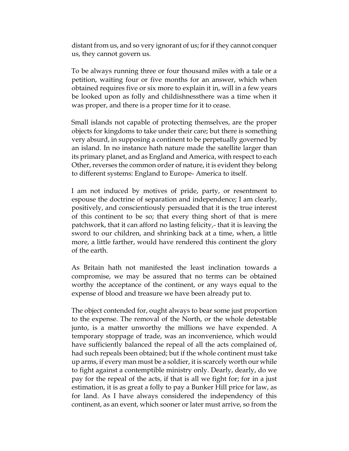distant from us, and so very ignorant of us; for if they cannot conquer us, they cannot govern us.

To be always running three or four thousand miles with a tale or a petition, waiting four or five months for an answer, which when obtained requires five or six more to explain it in, will in a few years be looked upon as folly and childishnessthere was a time when it was proper, and there is a proper time for it to cease.

Small islands not capable of protecting themselves, are the proper objects for kingdoms to take under their care; but there is something very absurd, in supposing a continent to be perpetually governed by an island. In no instance hath nature made the satellite larger than its primary planet, and as England and America, with respect to each Other, reverses the common order of nature, it is evident they belong to different systems: England to Europe- America to itself.

I am not induced by motives of pride, party, or resentment to espouse the doctrine of separation and independence; I am clearly, positively, and conscientiously persuaded that it is the true interest of this continent to be so; that every thing short of that is mere patchwork, that it can afford no lasting felicity,- that it is leaving the sword to our children, and shrinking back at a time, when, a little more, a little farther, would have rendered this continent the glory of the earth.

As Britain hath not manifested the least inclination towards a compromise, we may be assured that no terms can be obtained worthy the acceptance of the continent, or any ways equal to the expense of blood and treasure we have been already put to.

The object contended for, ought always to bear some just proportion to the expense. The removal of the North, or the whole detestable junto, is a matter unworthy the millions we have expended. A temporary stoppage of trade, was an inconvenience, which would have sufficiently balanced the repeal of all the acts complained of, had such repeals been obtained; but if the whole continent must take up arms, if every man must be a soldier, it is scarcely worth our while to fight against a contemptible ministry only. Dearly, dearly, do we pay for the repeal of the acts, if that is all we fight for; for in a just estimation, it is as great a folly to pay a Bunker Hill price for law, as for land. As I have always considered the independency of this continent, as an event, which sooner or later must arrive, so from the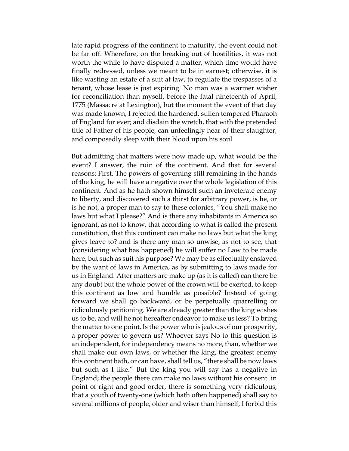late rapid progress of the continent to maturity, the event could not be far off. Wherefore, on the breaking out of hostilities, it was not worth the while to have disputed a matter, which time would have finally redressed, unless we meant to be in earnest; otherwise, it is like wasting an estate of a suit at law, to regulate the trespasses of a tenant, whose lease is just expiring. No man was a warmer wisher for reconciliation than myself, before the fatal nineteenth of April, 1775 (Massacre at Lexington), but the moment the event of that day was made known, I rejected the hardened, sullen tempered Pharaoh of England for ever; and disdain the wretch, that with the pretended title of Father of his people, can unfeelingly hear of their slaughter, and composedly sleep with their blood upon his soul.

But admitting that matters were now made up, what would be the event? I answer, the ruin of the continent. And that for several reasons: First. The powers of governing still remaining in the hands of the king, he will have a negative over the whole legislation of this continent. And as he hath shown himself such an inveterate enemy to liberty, and discovered such a thirst for arbitrary power, is he, or is he not, a proper man to say to these colonies, "You shall make no laws but what I please?" And is there any inhabitants in America so ignorant, as not to know, that according to what is called the present constitution, that this continent can make no laws but what the king gives leave to? and is there any man so unwise, as not to see, that (considering what has happened) he will suffer no Law to be made here, but such as suit his purpose? We may be as effectually enslaved by the want of laws in America, as by submitting to laws made for us in England. After matters are make up (as it is called) can there be any doubt but the whole power of the crown will be exerted, to keep this continent as low and humble as possible? Instead of going forward we shall go backward, or be perpetually quarrelling or ridiculously petitioning. We are already greater than the king wishes us to be, and will he not hereafter endeavor to make us less? To bring the matter to one point. Is the power who is jealous of our prosperity, a proper power to govern us? Whoever says No to this question is an independent, for independency means no more, than, whether we shall make our own laws, or whether the king, the greatest enemy this continent hath, or can have, shall tell us, "there shall be now laws but such as I like." But the king you will say has a negative in England; the people there can make no laws without his consent. in point of right and good order, there is something very ridiculous, that a youth of twenty-one (which hath often happened) shall say to several millions of people, older and wiser than himself, I forbid this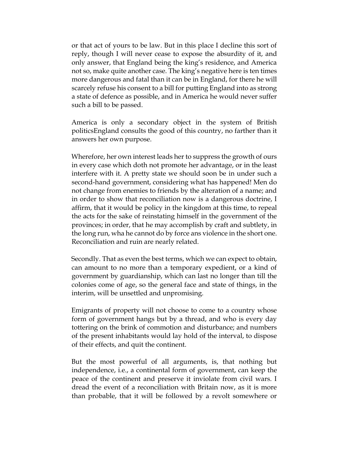or that act of yours to be law. But in this place I decline this sort of reply, though I will never cease to expose the absurdity of it, and only answer, that England being the king's residence, and America not so, make quite another case. The king's negative here is ten times more dangerous and fatal than it can be in England, for there he will scarcely refuse his consent to a bill for putting England into as strong a state of defence as possible, and in America he would never suffer such a bill to be passed.

America is only a secondary object in the system of British politicsEngland consults the good of this country, no farther than it answers her own purpose.

Wherefore, her own interest leads her to suppress the growth of ours in every case which doth not promote her advantage, or in the least interfere with it. A pretty state we should soon be in under such a second-hand government, considering what has happened! Men do not change from enemies to friends by the alteration of a name; and in order to show that reconciliation now is a dangerous doctrine, I affirm, that it would be policy in the kingdom at this time, to repeal the acts for the sake of reinstating himself in the government of the provinces; in order, that he may accomplish by craft and subtlety, in the long run, wha he cannot do by force ans violence in the short one. Reconciliation and ruin are nearly related.

Secondly. That as even the best terms, which we can expect to obtain, can amount to no more than a temporary expedient, or a kind of government by guardianship, which can last no longer than till the colonies come of age, so the general face and state of things, in the interim, will be unsettled and unpromising.

Emigrants of property will not choose to come to a country whose form of government hangs but by a thread, and who is every day tottering on the brink of commotion and disturbance; and numbers of the present inhabitants would lay hold of the interval, to dispose of their effects, and quit the continent.

But the most powerful of all arguments, is, that nothing but independence, i.e., a continental form of government, can keep the peace of the continent and preserve it inviolate from civil wars. I dread the event of a reconciliation with Britain now, as it is more than probable, that it will be followed by a revolt somewhere or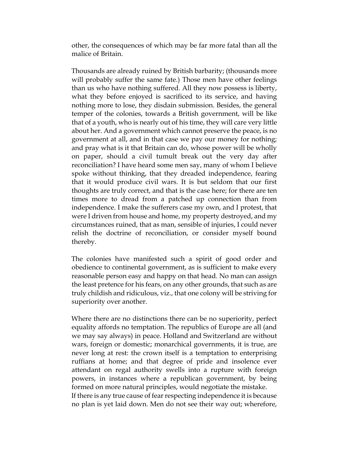other, the consequences of which may be far more fatal than all the malice of Britain.

Thousands are already ruined by British barbarity; (thousands more will probably suffer the same fate.) Those men have other feelings than us who have nothing suffered. All they now possess is liberty, what they before enjoyed is sacrificed to its service, and having nothing more to lose, they disdain submission. Besides, the general temper of the colonies, towards a British government, will be like that of a youth, who is nearly out of his time, they will care very little about her. And a government which cannot preserve the peace, is no government at all, and in that case we pay our money for nothing; and pray what is it that Britain can do, whose power will be wholly on paper, should a civil tumult break out the very day after reconciliation? I have heard some men say, many of whom I believe spoke without thinking, that they dreaded independence, fearing that it would produce civil wars. It is but seldom that our first thoughts are truly correct, and that is the case here; for there are ten times more to dread from a patched up connection than from independence. I make the sufferers case my own, and I protest, that were I driven from house and home, my property destroyed, and my circumstances ruined, that as man, sensible of injuries, I could never relish the doctrine of reconciliation, or consider myself bound thereby.

The colonies have manifested such a spirit of good order and obedience to continental government, as is sufficient to make every reasonable person easy and happy on that head. No man can assign the least pretence for his fears, on any other grounds, that such as are truly childish and ridiculous, viz., that one colony will be striving for superiority over another.

Where there are no distinctions there can be no superiority, perfect equality affords no temptation. The republics of Europe are all (and we may say always) in peace. Holland and Switzerland are without wars, foreign or domestic; monarchical governments, it is true, are never long at rest: the crown itself is a temptation to enterprising ruffians at home; and that degree of pride and insolence ever attendant on regal authority swells into a rupture with foreign powers, in instances where a republican government, by being formed on more natural principles, would negotiate the mistake.

If there is any true cause of fear respecting independence it is because no plan is yet laid down. Men do not see their way out; wherefore,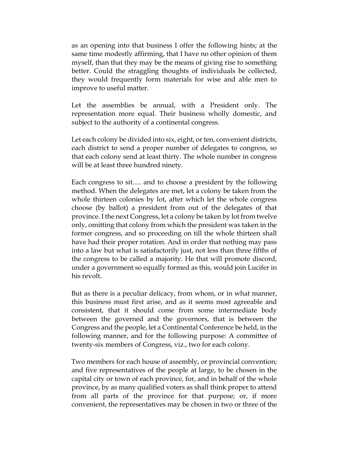as an opening into that business I offer the following hints; at the same time modestly affirming, that I have no other opinion of them myself, than that they may be the means of giving rise to something better. Could the straggling thoughts of individuals be collected, they would frequently form materials for wise and able men to improve to useful matter.

Let the assemblies be annual, with a President only. The representation more equal. Their business wholly domestic, and subject to the authority of a continental congress.

Let each colony be divided into six, eight, or ten, convenient districts, each district to send a proper number of delegates to congress, so that each colony send at least thirty. The whole number in congress will be at least three hundred ninety.

Each congress to sit..... and to choose a president by the following method. When the delegates are met, let a colony be taken from the whole thirteen colonies by lot, after which let the whole congress choose (by ballot) a president from out of the delegates of that province. I the next Congress, let a colony be taken by lot from twelve only, omitting that colony from which the president was taken in the former congress, and so proceeding on till the whole thirteen shall have had their proper rotation. And in order that nothing may pass into a law but what is satisfactorily just, not less than three fifths of the congress to be called a majority. He that will promote discord, under a government so equally formed as this, would join Lucifer in his revolt.

But as there is a peculiar delicacy, from whom, or in what manner, this business must first arise, and as it seems most agreeable and consistent, that it should come from some intermediate body between the governed and the governors, that is between the Congress and the people, let a Continental Conference be held, in the following manner, and for the following purpose: A committee of twenty-six members of Congress, viz., two for each colony.

Two members for each house of assembly, or provincial convention; and five representatives of the people at large, to be chosen in the capital city or town of each province, for, and in behalf of the whole province, by as many qualified voters as shall think proper to attend from all parts of the province for that purpose; or, if more convenient, the representatives may be chosen in two or three of the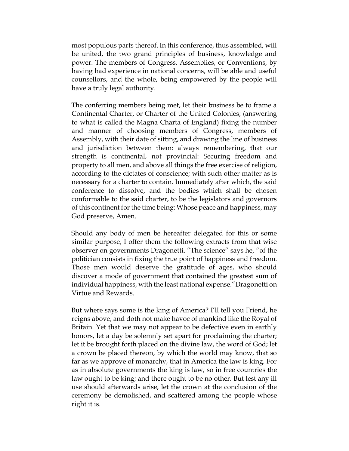most populous parts thereof. In this conference, thus assembled, will be united, the two grand principles of business, knowledge and power. The members of Congress, Assemblies, or Conventions, by having had experience in national concerns, will be able and useful counsellors, and the whole, being empowered by the people will have a truly legal authority.

The conferring members being met, let their business be to frame a Continental Charter, or Charter of the United Colonies; (answering to what is called the Magna Charta of England) fixing the number and manner of choosing members of Congress, members of Assembly, with their date of sitting, and drawing the line of business and jurisdiction between them: always remembering, that our strength is continental, not provincial: Securing freedom and property to all men, and above all things the free exercise of religion, according to the dictates of conscience; with such other matter as is necessary for a charter to contain. Immediately after which, the said conference to dissolve, and the bodies which shall be chosen conformable to the said charter, to be the legislators and governors of this continent for the time being: Whose peace and happiness, may God preserve, Amen.

Should any body of men be hereafter delegated for this or some similar purpose, I offer them the following extracts from that wise observer on governments Dragonetti. "The science" says he, "of the politician consists in fixing the true point of happiness and freedom. Those men would deserve the gratitude of ages, who should discover a mode of government that contained the greatest sum of individual happiness, with the least national expense."Dragonetti on Virtue and Rewards.

But where says some is the king of America? I'll tell you Friend, he reigns above, and doth not make havoc of mankind like the Royal of Britain. Yet that we may not appear to be defective even in earthly honors, let a day be solemnly set apart for proclaiming the charter; let it be brought forth placed on the divine law, the word of God; let a crown be placed thereon, by which the world may know, that so far as we approve of monarchy, that in America the law is king. For as in absolute governments the king is law, so in free countries the law ought to be king; and there ought to be no other. But lest any ill use should afterwards arise, let the crown at the conclusion of the ceremony be demolished, and scattered among the people whose right it is.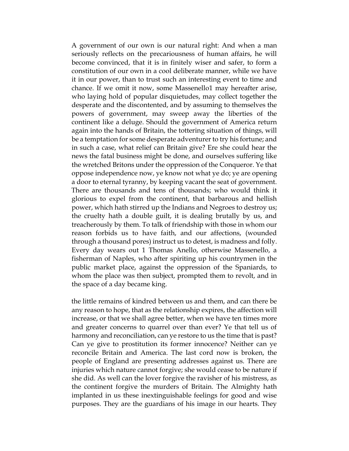A government of our own is our natural right: And when a man seriously reflects on the precariousness of human affairs, he will become convinced, that it is in finitely wiser and safer, to form a constitution of our own in a cool deliberate manner, while we have it in our power, than to trust such an interesting event to time and chance. If we omit it now, some Massenello1 may hereafter arise, who laying hold of popular disquietudes, may collect together the desperate and the discontented, and by assuming to themselves the powers of government, may sweep away the liberties of the continent like a deluge. Should the government of America return again into the hands of Britain, the tottering situation of things, will be a temptation for some desperate adventurer to try his fortune; and in such a case, what relief can Britain give? Ere she could hear the news the fatal business might be done, and ourselves suffering like the wretched Britons under the oppression of the Conqueror. Ye that oppose independence now, ye know not what ye do; ye are opening a door to eternal tyranny, by keeping vacant the seat of government. There are thousands and tens of thousands; who would think it glorious to expel from the continent, that barbarous and hellish power, which hath stirred up the Indians and Negroes to destroy us; the cruelty hath a double guilt, it is dealing brutally by us, and treacherously by them. To talk of friendship with those in whom our reason forbids us to have faith, and our affections, (wounded through a thousand pores) instruct us to detest, is madness and folly. Every day wears out 1 Thomas Anello, otherwise Massenello, a fisherman of Naples, who after spiriting up his countrymen in the public market place, against the oppression of the Spaniards, to whom the place was then subject, prompted them to revolt, and in the space of a day became king.

the little remains of kindred between us and them, and can there be any reason to hope, that as the relationship expires, the affection will increase, or that we shall agree better, when we have ten times more and greater concerns to quarrel over than ever? Ye that tell us of harmony and reconciliation, can ye restore to us the time that is past? Can ye give to prostitution its former innocence? Neither can ye reconcile Britain and America. The last cord now is broken, the people of England are presenting addresses against us. There are injuries which nature cannot forgive; she would cease to be nature if she did. As well can the lover forgive the ravisher of his mistress, as the continent forgive the murders of Britain. The Almighty hath implanted in us these inextinguishable feelings for good and wise purposes. They are the guardians of his image in our hearts. They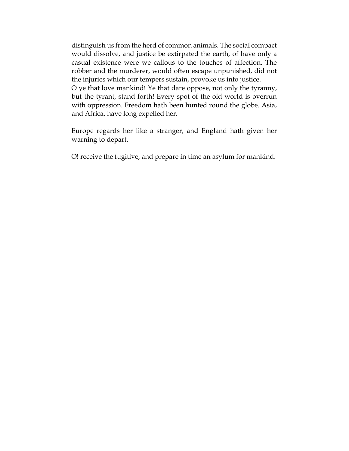distinguish us from the herd of common animals. The social compact would dissolve, and justice be extirpated the earth, of have only a casual existence were we callous to the touches of affection. The robber and the murderer, would often escape unpunished, did not the injuries which our tempers sustain, provoke us into justice. O ye that love mankind! Ye that dare oppose, not only the tyranny, but the tyrant, stand forth! Every spot of the old world is overrun with oppression. Freedom hath been hunted round the globe. Asia, and Africa, have long expelled her.

Europe regards her like a stranger, and England hath given her warning to depart.

O! receive the fugitive, and prepare in time an asylum for mankind.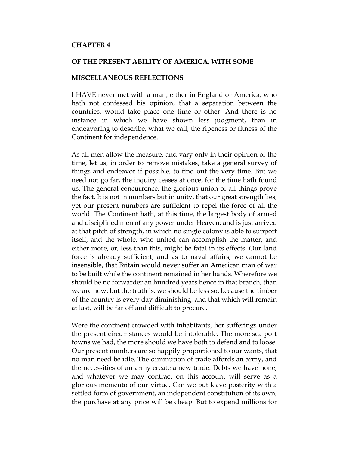### **CHAPTER 4**

#### **OF THE PRESENT ABILITY OF AMERICA, WITH SOME**

#### **MISCELLANEOUS REFLECTIONS**

I HAVE never met with a man, either in England or America, who hath not confessed his opinion, that a separation between the countries, would take place one time or other. And there is no instance in which we have shown less judgment, than in endeavoring to describe, what we call, the ripeness or fitness of the Continent for independence.

As all men allow the measure, and vary only in their opinion of the time, let us, in order to remove mistakes, take a general survey of things and endeavor if possible, to find out the very time. But we need not go far, the inquiry ceases at once, for the time hath found us. The general concurrence, the glorious union of all things prove the fact. It is not in numbers but in unity, that our great strength lies; yet our present numbers are sufficient to repel the force of all the world. The Continent hath, at this time, the largest body of armed and disciplined men of any power under Heaven; and is just arrived at that pitch of strength, in which no single colony is able to support itself, and the whole, who united can accomplish the matter, and either more, or, less than this, might be fatal in its effects. Our land force is already sufficient, and as to naval affairs, we cannot be insensible, that Britain would never suffer an American man of war to be built while the continent remained in her hands. Wherefore we should be no forwarder an hundred years hence in that branch, than we are now; but the truth is, we should be less so, because the timber of the country is every day diminishing, and that which will remain at last, will be far off and difficult to procure.

Were the continent crowded with inhabitants, her sufferings under the present circumstances would be intolerable. The more sea port towns we had, the more should we have both to defend and to loose. Our present numbers are so happily proportioned to our wants, that no man need be idle. The diminution of trade affords an army, and the necessities of an army create a new trade. Debts we have none; and whatever we may contract on this account will serve as a glorious memento of our virtue. Can we but leave posterity with a settled form of government, an independent constitution of its own, the purchase at any price will be cheap. But to expend millions for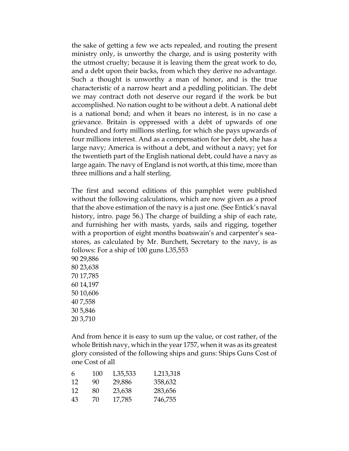the sake of getting a few we acts repealed, and routing the present ministry only, is unworthy the charge, and is using posterity with the utmost cruelty; because it is leaving them the great work to do, and a debt upon their backs, from which they derive no advantage. Such a thought is unworthy a man of honor, and is the true characteristic of a narrow heart and a peddling politician. The debt we may contract doth not deserve our regard if the work be but accomplished. No nation ought to be without a debt. A national debt is a national bond; and when it bears no interest, is in no case a grievance. Britain is oppressed with a debt of upwards of one hundred and forty millions sterling, for which she pays upwards of four millions interest. And as a compensation for her debt, she has a large navy; America is without a debt, and without a navy; yet for the twentieth part of the English national debt, could have a navy as large again. The navy of England is not worth, at this time, more than three millions and a half sterling.

The first and second editions of this pamphlet were published without the following calculations, which are now given as a proof that the above estimation of the navy is a just one. (See Entick's naval history, intro. page 56.) The charge of building a ship of each rate, and furnishing her with masts, yards, sails and rigging, together with a proportion of eight months boatswain's and carpenter's seastores, as calculated by Mr. Burchett, Secretary to the navy, is as follows: For a ship of 100 guns L35,553 90 29,886

80 23,638 70 17,785 60 14,197 50 10,606 40 7,558 30 5,846 20 3,710

And from hence it is easy to sum up the value, or cost rather, of the whole British navy, which in the year 1757, when it was as its greatest glory consisted of the following ships and guns: Ships Guns Cost of one Cost of all

| 6  | 10O | L35,533 | L213,318 |
|----|-----|---------|----------|
| 12 | 90  | 29,886  | 358,632  |
| 12 | 80  | 23,638  | 283,656  |
| 43 | 70  | 17,785  | 746,755  |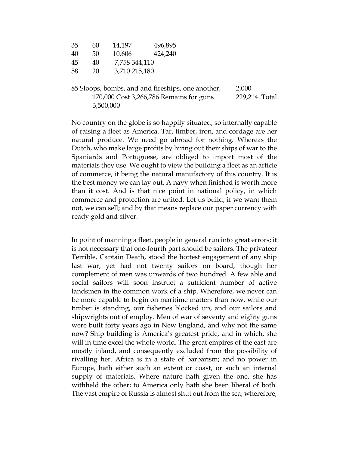| -35 | 60 | 14,197        | 496,895 |
|-----|----|---------------|---------|
| 40  | 50 | 10,606        | 424,240 |
| 45  | 40 | 7,758 344,110 |         |
| 58  | 20 | 3,710 215,180 |         |

85 Sloops, bombs, and and fireships, one another, 2,000 170,000 Cost 3,266,786 Remains for guns 229,214 Total 3,500,000

No country on the globe is so happily situated, so internally capable of raising a fleet as America. Tar, timber, iron, and cordage are her natural produce. We need go abroad for nothing. Whereas the Dutch, who make large profits by hiring out their ships of war to the Spaniards and Portuguese, are obliged to import most of the materials they use. We ought to view the building a fleet as an article of commerce, it being the natural manufactory of this country. It is the best money we can lay out. A navy when finished is worth more than it cost. And is that nice point in national policy, in which commerce and protection are united. Let us build; if we want them not, we can sell; and by that means replace our paper currency with ready gold and silver.

In point of manning a fleet, people in general run into great errors; it is not necessary that one-fourth part should be sailors. The privateer Terrible, Captain Death, stood the hottest engagement of any ship last war, yet had not twenty sailors on board, though her complement of men was upwards of two hundred. A few able and social sailors will soon instruct a sufficient number of active landsmen in the common work of a ship. Wherefore, we never can be more capable to begin on maritime matters than now, while our timber is standing, our fisheries blocked up, and our sailors and shipwrights out of employ. Men of war of seventy and eighty guns were built forty years ago in New England, and why not the same now? Ship building is America's greatest pride, and in which, she will in time excel the whole world. The great empires of the east are mostly inland, and consequently excluded from the possibility of rivalling her. Africa is in a state of barbarism; and no power in Europe, hath either such an extent or coast, or such an internal supply of materials. Where nature hath given the one, she has withheld the other; to America only hath she been liberal of both. The vast empire of Russia is almost shut out from the sea; wherefore,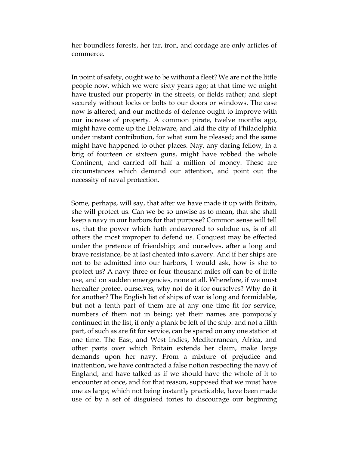her boundless forests, her tar, iron, and cordage are only articles of commerce.

In point of safety, ought we to be without a fleet? We are not the little people now, which we were sixty years ago; at that time we might have trusted our property in the streets, or fields rather; and slept securely without locks or bolts to our doors or windows. The case now is altered, and our methods of defence ought to improve with our increase of property. A common pirate, twelve months ago, might have come up the Delaware, and laid the city of Philadelphia under instant contribution, for what sum he pleased; and the same might have happened to other places. Nay, any daring fellow, in a brig of fourteen or sixteen guns, might have robbed the whole Continent, and carried off half a million of money. These are circumstances which demand our attention, and point out the necessity of naval protection.

Some, perhaps, will say, that after we have made it up with Britain, she will protect us. Can we be so unwise as to mean, that she shall keep a navy in our harbors for that purpose? Common sense will tell us, that the power which hath endeavored to subdue us, is of all others the most improper to defend us. Conquest may be effected under the pretence of friendship; and ourselves, after a long and brave resistance, be at last cheated into slavery. And if her ships are not to be admitted into our harbors, I would ask, how is she to protect us? A navy three or four thousand miles off can be of little use, and on sudden emergencies, none at all. Wherefore, if we must hereafter protect ourselves, why not do it for ourselves? Why do it for another? The English list of ships of war is long and formidable, but not a tenth part of them are at any one time fit for service, numbers of them not in being; yet their names are pompously continued in the list, if only a plank be left of the ship: and not a fifth part, of such as are fit for service, can be spared on any one station at one time. The East, and West Indies, Mediterranean, Africa, and other parts over which Britain extends her claim, make large demands upon her navy. From a mixture of prejudice and inattention, we have contracted a false notion respecting the navy of England, and have talked as if we should have the whole of it to encounter at once, and for that reason, supposed that we must have one as large; which not being instantly practicable, have been made use of by a set of disguised tories to discourage our beginning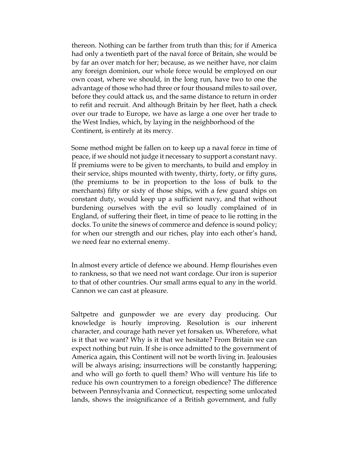thereon. Nothing can be farther from truth than this; for if America had only a twentieth part of the naval force of Britain, she would be by far an over match for her; because, as we neither have, nor claim any foreign dominion, our whole force would be employed on our own coast, where we should, in the long run, have two to one the advantage of those who had three or four thousand miles to sail over, before they could attack us, and the same distance to return in order to refit and recruit. And although Britain by her fleet, hath a check over our trade to Europe, we have as large a one over her trade to the West Indies, which, by laying in the neighborhood of the Continent, is entirely at its mercy.

Some method might be fallen on to keep up a naval force in time of peace, if we should not judge it necessary to support a constant navy. If premiums were to be given to merchants, to build and employ in their service, ships mounted with twenty, thirty, forty, or fifty guns, (the premiums to be in proportion to the loss of bulk to the merchants) fifty or sixty of those ships, with a few guard ships on constant duty, would keep up a sufficient navy, and that without burdening ourselves with the evil so loudly complained of in England, of suffering their fleet, in time of peace to lie rotting in the docks. To unite the sinews of commerce and defence is sound policy; for when our strength and our riches, play into each other's hand, we need fear no external enemy.

In almost every article of defence we abound. Hemp flourishes even to rankness, so that we need not want cordage. Our iron is superior to that of other countries. Our small arms equal to any in the world. Cannon we can cast at pleasure.

Saltpetre and gunpowder we are every day producing. Our knowledge is hourly improving. Resolution is our inherent character, and courage hath never yet forsaken us. Wherefore, what is it that we want? Why is it that we hesitate? From Britain we can expect nothing but ruin. If she is once admitted to the government of America again, this Continent will not be worth living in. Jealousies will be always arising; insurrections will be constantly happening; and who will go forth to quell them? Who will venture his life to reduce his own countrymen to a foreign obedience? The difference between Pennsylvania and Connecticut, respecting some unlocated lands, shows the insignificance of a British government, and fully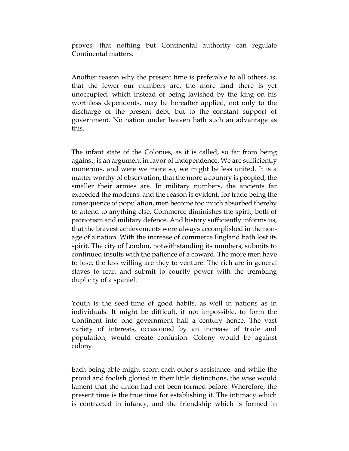proves, that nothing but Continental authority can regulate Continental matters.

Another reason why the present time is preferable to all others, is, that the fewer our numbers are, the more land there is yet unoccupied, which instead of being lavished by the king on his worthless dependents, may be hereafter applied, not only to the discharge of the present debt, but to the constant support of government. No nation under heaven hath such an advantage as this.

The infant state of the Colonies, as it is called, so far from being against, is an argument in favor of independence. We are sufficiently numerous, and were we more so, we might be less united. It is a matter worthy of observation, that the more a country is peopled, the smaller their armies are. In military numbers, the ancients far exceeded the moderns: and the reason is evident, for trade being the consequence of population, men become too much absorbed thereby to attend to anything else. Commerce diminishes the spirit, both of patriotism and military defence. And history sufficiently informs us, that the bravest achievements were always accomplished in the nonage of a nation. With the increase of commerce England hath lost its spirit. The city of London, notwithstanding its numbers, submits to continued insults with the patience of a coward. The more men have to lose, the less willing are they to venture. The rich are in general slaves to fear, and submit to courtly power with the trembling duplicity of a spaniel.

Youth is the seed-time of good habits, as well in nations as in individuals. It might be difficult, if not impossible, to form the Continent into one government half a century hence. The vast variety of interests, occasioned by an increase of trade and population, would create confusion. Colony would be against colony.

Each being able might scorn each other's assistance: and while the proud and foolish gloried in their little distinctions, the wise would lament that the union had not been formed before. Wherefore, the present time is the true time for establishing it. The intimacy which is contracted in infancy, and the friendship which is formed in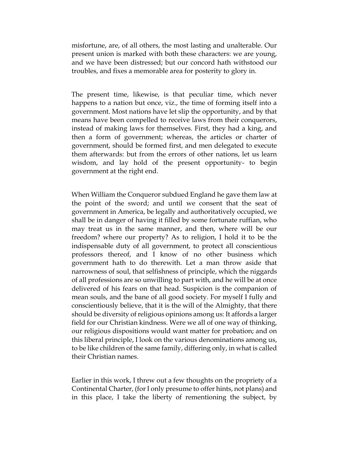misfortune, are, of all others, the most lasting and unalterable. Our present union is marked with both these characters: we are young, and we have been distressed; but our concord hath withstood our troubles, and fixes a memorable area for posterity to glory in.

The present time, likewise, is that peculiar time, which never happens to a nation but once, viz., the time of forming itself into a government. Most nations have let slip the opportunity, and by that means have been compelled to receive laws from their conquerors, instead of making laws for themselves. First, they had a king, and then a form of government; whereas, the articles or charter of government, should be formed first, and men delegated to execute them afterwards: but from the errors of other nations, let us learn wisdom, and lay hold of the present opportunity- to begin government at the right end.

When William the Conqueror subdued England he gave them law at the point of the sword; and until we consent that the seat of government in America, be legally and authoritatively occupied, we shall be in danger of having it filled by some fortunate ruffian, who may treat us in the same manner, and then, where will be our freedom? where our property? As to religion, I hold it to be the indispensable duty of all government, to protect all conscientious professors thereof, and I know of no other business which government hath to do therewith. Let a man throw aside that narrowness of soul, that selfishness of principle, which the niggards of all professions are so unwilling to part with, and he will be at once delivered of his fears on that head. Suspicion is the companion of mean souls, and the bane of all good society. For myself I fully and conscientiously believe, that it is the will of the Almighty, that there should be diversity of religious opinions among us: It affords a larger field for our Christian kindness. Were we all of one way of thinking, our religious dispositions would want matter for probation; and on this liberal principle, I look on the various denominations among us, to be like children of the same family, differing only, in what is called their Christian names.

Earlier in this work, I threw out a few thoughts on the propriety of a Continental Charter, (for I only presume to offer hints, not plans) and in this place, I take the liberty of rementioning the subject, by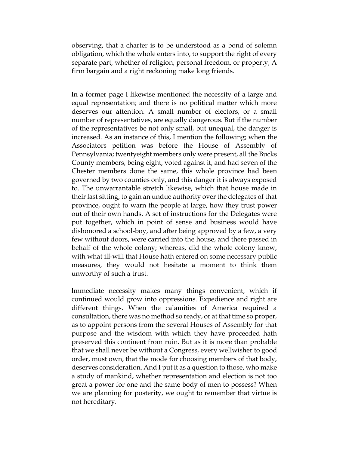observing, that a charter is to be understood as a bond of solemn obligation, which the whole enters into, to support the right of every separate part, whether of religion, personal freedom, or property, A firm bargain and a right reckoning make long friends.

In a former page I likewise mentioned the necessity of a large and equal representation; and there is no political matter which more deserves our attention. A small number of electors, or a small number of representatives, are equally dangerous. But if the number of the representatives be not only small, but unequal, the danger is increased. As an instance of this, I mention the following; when the Associators petition was before the House of Assembly of Pennsylvania; twentyeight members only were present, all the Bucks County members, being eight, voted against it, and had seven of the Chester members done the same, this whole province had been governed by two counties only, and this danger it is always exposed to. The unwarrantable stretch likewise, which that house made in their last sitting, to gain an undue authority over the delegates of that province, ought to warn the people at large, how they trust power out of their own hands. A set of instructions for the Delegates were put together, which in point of sense and business would have dishonored a school-boy, and after being approved by a few, a very few without doors, were carried into the house, and there passed in behalf of the whole colony; whereas, did the whole colony know, with what ill-will that House hath entered on some necessary public measures, they would not hesitate a moment to think them unworthy of such a trust.

Immediate necessity makes many things convenient, which if continued would grow into oppressions. Expedience and right are different things. When the calamities of America required a consultation, there was no method so ready, or at that time so proper, as to appoint persons from the several Houses of Assembly for that purpose and the wisdom with which they have proceeded hath preserved this continent from ruin. But as it is more than probable that we shall never be without a Congress, every wellwisher to good order, must own, that the mode for choosing members of that body, deserves consideration. And I put it as a question to those, who make a study of mankind, whether representation and election is not too great a power for one and the same body of men to possess? When we are planning for posterity, we ought to remember that virtue is not hereditary.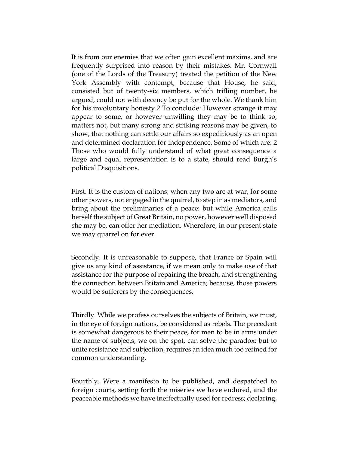It is from our enemies that we often gain excellent maxims, and are frequently surprised into reason by their mistakes. Mr. Cornwall (one of the Lords of the Treasury) treated the petition of the New York Assembly with contempt, because that House, he said, consisted but of twenty-six members, which trifling number, he argued, could not with decency be put for the whole. We thank him for his involuntary honesty.2 To conclude: However strange it may appear to some, or however unwilling they may be to think so, matters not, but many strong and striking reasons may be given, to show, that nothing can settle our affairs so expeditiously as an open and determined declaration for independence. Some of which are: 2 Those who would fully understand of what great consequence a large and equal representation is to a state, should read Burgh's political Disquisitions.

First. It is the custom of nations, when any two are at war, for some other powers, not engaged in the quarrel, to step in as mediators, and bring about the preliminaries of a peace: but while America calls herself the subject of Great Britain, no power, however well disposed she may be, can offer her mediation. Wherefore, in our present state we may quarrel on for ever.

Secondly. It is unreasonable to suppose, that France or Spain will give us any kind of assistance, if we mean only to make use of that assistance for the purpose of repairing the breach, and strengthening the connection between Britain and America; because, those powers would be sufferers by the consequences.

Thirdly. While we profess ourselves the subjects of Britain, we must, in the eye of foreign nations, be considered as rebels. The precedent is somewhat dangerous to their peace, for men to be in arms under the name of subjects; we on the spot, can solve the paradox: but to unite resistance and subjection, requires an idea much too refined for common understanding.

Fourthly. Were a manifesto to be published, and despatched to foreign courts, setting forth the miseries we have endured, and the peaceable methods we have ineffectually used for redress; declaring,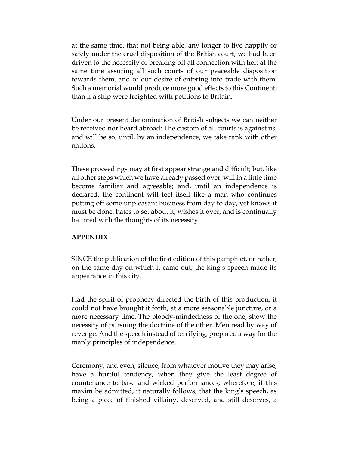at the same time, that not being able, any longer to live happily or safely under the cruel disposition of the British court, we had been driven to the necessity of breaking off all connection with her; at the same time assuring all such courts of our peaceable disposition towards them, and of our desire of entering into trade with them. Such a memorial would produce more good effects to this Continent, than if a ship were freighted with petitions to Britain.

Under our present denomination of British subjects we can neither be received nor heard abroad: The custom of all courts is against us, and will be so, until, by an independence, we take rank with other nations.

These proceedings may at first appear strange and difficult; but, like all other steps which we have already passed over, will in a little time become familiar and agreeable; and, until an independence is declared, the continent will feel itself like a man who continues putting off some unpleasant business from day to day, yet knows it must be done, hates to set about it, wishes it over, and is continually haunted with the thoughts of its necessity.

### **APPENDIX**

SINCE the publication of the first edition of this pamphlet, or rather, on the same day on which it came out, the king's speech made its appearance in this city.

Had the spirit of prophecy directed the birth of this production, it could not have brought it forth, at a more seasonable juncture, or a more necessary time. The bloody-mindedness of the one, show the necessity of pursuing the doctrine of the other. Men read by way of revenge. And the speech instead of terrifying, prepared a way for the manly principles of independence.

Ceremony, and even, silence, from whatever motive they may arise, have a hurtful tendency, when they give the least degree of countenance to base and wicked performances; wherefore, if this maxim be admitted, it naturally follows, that the king's speech, as being a piece of finished villainy, deserved, and still deserves, a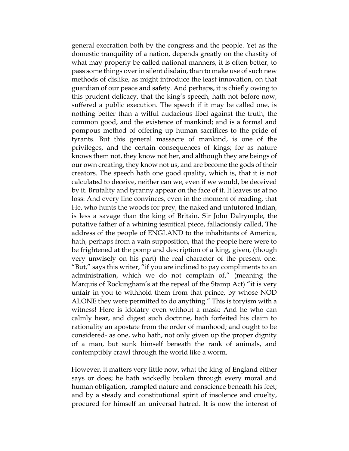general execration both by the congress and the people. Yet as the domestic tranquility of a nation, depends greatly on the chastity of what may properly be called national manners, it is often better, to pass some things over in silent disdain, than to make use of such new methods of dislike, as might introduce the least innovation, on that guardian of our peace and safety. And perhaps, it is chiefly owing to this prudent delicacy, that the king's speech, hath not before now, suffered a public execution. The speech if it may be called one, is nothing better than a wilful audacious libel against the truth, the common good, and the existence of mankind; and is a formal and pompous method of offering up human sacrifices to the pride of tyrants. But this general massacre of mankind, is one of the privileges, and the certain consequences of kings; for as nature knows them not, they know not her, and although they are beings of our own creating, they know not us, and are become the gods of their creators. The speech hath one good quality, which is, that it is not calculated to deceive, neither can we, even if we would, be deceived by it. Brutality and tyranny appear on the face of it. It leaves us at no loss: And every line convinces, even in the moment of reading, that He, who hunts the woods for prey, the naked and untutored Indian, is less a savage than the king of Britain. Sir John Dalrymple, the putative father of a whining jesuitical piece, fallaciously called, The address of the people of ENGLAND to the inhabitants of America, hath, perhaps from a vain supposition, that the people here were to be frightened at the pomp and description of a king, given, (though very unwisely on his part) the real character of the present one: "But," says this writer, "if you are inclined to pay compliments to an administration, which we do not complain of," (meaning the Marquis of Rockingham's at the repeal of the Stamp Act) "it is very unfair in you to withhold them from that prince, by whose NOD ALONE they were permitted to do anything." This is toryism with a witness! Here is idolatry even without a mask: And he who can calmly hear, and digest such doctrine, hath forfeited his claim to rationality an apostate from the order of manhood; and ought to be considered- as one, who hath, not only given up the proper dignity of a man, but sunk himself beneath the rank of animals, and contemptibly crawl through the world like a worm.

However, it matters very little now, what the king of England either says or does; he hath wickedly broken through every moral and human obligation, trampled nature and conscience beneath his feet; and by a steady and constitutional spirit of insolence and cruelty, procured for himself an universal hatred. It is now the interest of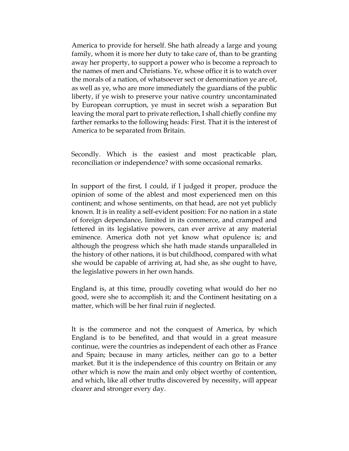America to provide for herself. She hath already a large and young family, whom it is more her duty to take care of, than to be granting away her property, to support a power who is become a reproach to the names of men and Christians. Ye, whose office it is to watch over the morals of a nation, of whatsoever sect or denomination ye are of, as well as ye, who are more immediately the guardians of the public liberty, if ye wish to preserve your native country uncontaminated by European corruption, ye must in secret wish a separation But leaving the moral part to private reflection, I shall chiefly confine my farther remarks to the following heads: First. That it is the interest of America to be separated from Britain.

Secondly. Which is the easiest and most practicable plan, reconciliation or independence? with some occasional remarks.

In support of the first, I could, if I judged it proper, produce the opinion of some of the ablest and most experienced men on this continent; and whose sentiments, on that head, are not yet publicly known. It is in reality a self-evident position: For no nation in a state of foreign dependance, limited in its commerce, and cramped and fettered in its legislative powers, can ever arrive at any material eminence. America doth not yet know what opulence is; and although the progress which she hath made stands unparalleled in the history of other nations, it is but childhood, compared with what she would be capable of arriving at, had she, as she ought to have, the legislative powers in her own hands.

England is, at this time, proudly coveting what would do her no good, were she to accomplish it; and the Continent hesitating on a matter, which will be her final ruin if neglected.

It is the commerce and not the conquest of America, by which England is to be benefited, and that would in a great measure continue, were the countries as independent of each other as France and Spain; because in many articles, neither can go to a better market. But it is the independence of this country on Britain or any other which is now the main and only object worthy of contention, and which, like all other truths discovered by necessity, will appear clearer and stronger every day.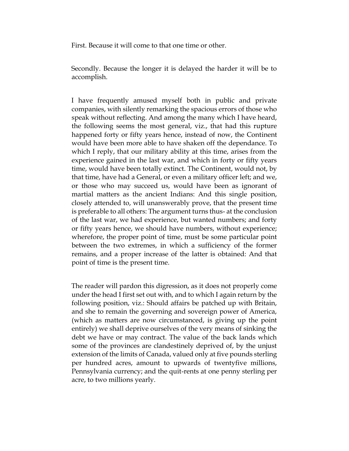First. Because it will come to that one time or other.

Secondly. Because the longer it is delayed the harder it will be to accomplish.

I have frequently amused myself both in public and private companies, with silently remarking the spacious errors of those who speak without reflecting. And among the many which I have heard, the following seems the most general, viz., that had this rupture happened forty or fifty years hence, instead of now, the Continent would have been more able to have shaken off the dependance. To which I reply, that our military ability at this time, arises from the experience gained in the last war, and which in forty or fifty years time, would have been totally extinct. The Continent, would not, by that time, have had a General, or even a military officer left; and we, or those who may succeed us, would have been as ignorant of martial matters as the ancient Indians: And this single position, closely attended to, will unanswerably prove, that the present time is preferable to all others: The argument turns thus- at the conclusion of the last war, we had experience, but wanted numbers; and forty or fifty years hence, we should have numbers, without experience; wherefore, the proper point of time, must be some particular point between the two extremes, in which a sufficiency of the former remains, and a proper increase of the latter is obtained: And that point of time is the present time.

The reader will pardon this digression, as it does not properly come under the head I first set out with, and to which I again return by the following position, viz.: Should affairs be patched up with Britain, and she to remain the governing and sovereign power of America, (which as matters are now circumstanced, is giving up the point entirely) we shall deprive ourselves of the very means of sinking the debt we have or may contract. The value of the back lands which some of the provinces are clandestinely deprived of, by the unjust extension of the limits of Canada, valued only at five pounds sterling per hundred acres, amount to upwards of twentyfive millions, Pennsylvania currency; and the quit-rents at one penny sterling per acre, to two millions yearly.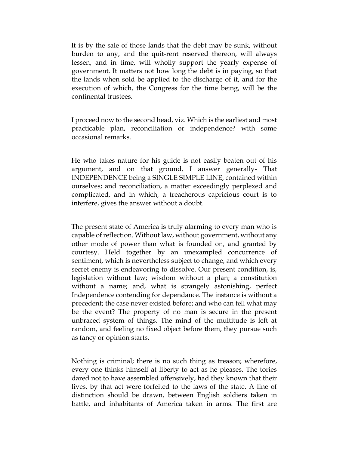It is by the sale of those lands that the debt may be sunk, without burden to any, and the quit-rent reserved thereon, will always lessen, and in time, will wholly support the yearly expense of government. It matters not how long the debt is in paying, so that the lands when sold be applied to the discharge of it, and for the execution of which, the Congress for the time being, will be the continental trustees.

I proceed now to the second head, viz. Which is the earliest and most practicable plan, reconciliation or independence? with some occasional remarks.

He who takes nature for his guide is not easily beaten out of his argument, and on that ground, I answer generally- That INDEPENDENCE being a SINGLE SIMPLE LINE, contained within ourselves; and reconciliation, a matter exceedingly perplexed and complicated, and in which, a treacherous capricious court is to interfere, gives the answer without a doubt.

The present state of America is truly alarming to every man who is capable of reflection. Without law, without government, without any other mode of power than what is founded on, and granted by courtesy. Held together by an unexampled concurrence of sentiment, which is nevertheless subject to change, and which every secret enemy is endeavoring to dissolve. Our present condition, is, legislation without law; wisdom without a plan; a constitution without a name; and, what is strangely astonishing, perfect Independence contending for dependance. The instance is without a precedent; the case never existed before; and who can tell what may be the event? The property of no man is secure in the present unbraced system of things. The mind of the multitude is left at random, and feeling no fixed object before them, they pursue such as fancy or opinion starts.

Nothing is criminal; there is no such thing as treason; wherefore, every one thinks himself at liberty to act as he pleases. The tories dared not to have assembled offensively, had they known that their lives, by that act were forfeited to the laws of the state. A line of distinction should be drawn, between English soldiers taken in battle, and inhabitants of America taken in arms. The first are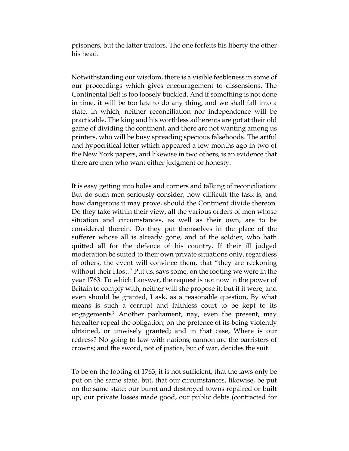prisoners, but the latter traitors. The one forfeits his liberty the other his head.

Notwithstanding our wisdom, there is a visible feebleness in some of our proceedings which gives encouragement to dissensions. The Continental Belt is too loosely buckled. And if something is not done in time, it will be too late to do any thing, and we shall fall into a state, in which, neither reconciliation nor independence will be practicable. The king and his worthless adherents are got at their old game of dividing the continent, and there are not wanting among us printers, who will be busy spreading specious falsehoods. The artful and hypocritical letter which appeared a few months ago in two of the New York papers, and likewise in two others, is an evidence that there are men who want either judgment or honesty.

It is easy getting into holes and corners and talking of reconciliation: But do such men seriously consider, how difficult the task is, and how dangerous it may prove, should the Continent divide thereon. Do they take within their view, all the various orders of men whose situation and circumstances, as well as their own, are to be considered therein. Do they put themselves in the place of the sufferer whose all is already gone, and of the soldier, who hath quitted all for the defence of his country. If their ill judged moderation be suited to their own private situations only, regardless of others, the event will convince them, that "they are reckoning without their Host." Put us, says some, on the footing we were in the year 1763: To which I answer, the request is not now in the power of Britain to comply with, neither will she propose it; but if it were, and even should be granted, I ask, as a reasonable question, By what means is such a corrupt and faithless court to be kept to its engagements? Another parliament, nay, even the present, may hereafter repeal the obligation, on the pretence of its being violently obtained, or unwisely granted; and in that case, Where is our redress? No going to law with nations; cannon are the barristers of crowns; and the sword, not of justice, but of war, decides the suit.

To be on the footing of 1763, it is not sufficient, that the laws only be put on the same state, but, that our circumstances, likewise, be put on the same state; our burnt and destroyed towns repaired or built up, our private losses made good, our public debts (contracted for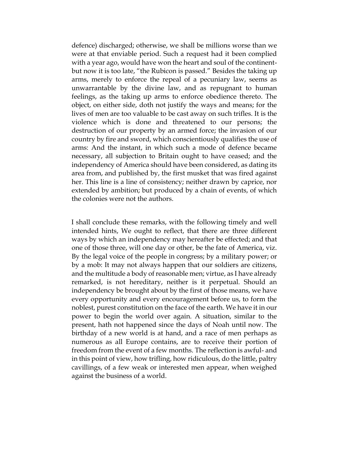defence) discharged; otherwise, we shall be millions worse than we were at that enviable period. Such a request had it been complied with a year ago, would have won the heart and soul of the continentbut now it is too late, "the Rubicon is passed." Besides the taking up arms, merely to enforce the repeal of a pecuniary law, seems as unwarrantable by the divine law, and as repugnant to human feelings, as the taking up arms to enforce obedience thereto. The object, on either side, doth not justify the ways and means; for the lives of men are too valuable to be cast away on such trifles. It is the violence which is done and threatened to our persons; the destruction of our property by an armed force; the invasion of our country by fire and sword, which conscientiously qualifies the use of arms: And the instant, in which such a mode of defence became necessary, all subjection to Britain ought to have ceased; and the independency of America should have been considered, as dating its area from, and published by, the first musket that was fired against her. This line is a line of consistency; neither drawn by caprice, nor extended by ambition; but produced by a chain of events, of which the colonies were not the authors.

I shall conclude these remarks, with the following timely and well intended hints, We ought to reflect, that there are three different ways by which an independency may hereafter be effected; and that one of those three, will one day or other, be the fate of America, viz. By the legal voice of the people in congress; by a military power; or by a mob: It may not always happen that our soldiers are citizens, and the multitude a body of reasonable men; virtue, as I have already remarked, is not hereditary, neither is it perpetual. Should an independency be brought about by the first of those means, we have every opportunity and every encouragement before us, to form the noblest, purest constitution on the face of the earth. We have it in our power to begin the world over again. A situation, similar to the present, hath not happened since the days of Noah until now. The birthday of a new world is at hand, and a race of men perhaps as numerous as all Europe contains, are to receive their portion of freedom from the event of a few months. The reflection is awful- and in this point of view, how trifling, how ridiculous, do the little, paltry cavillings, of a few weak or interested men appear, when weighed against the business of a world.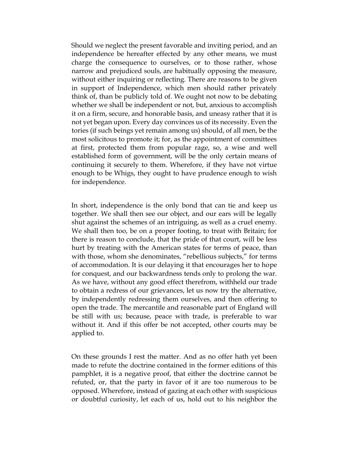Should we neglect the present favorable and inviting period, and an independence be hereafter effected by any other means, we must charge the consequence to ourselves, or to those rather, whose narrow and prejudiced souls, are habitually opposing the measure, without either inquiring or reflecting. There are reasons to be given in support of Independence, which men should rather privately think of, than be publicly told of. We ought not now to be debating whether we shall be independent or not, but, anxious to accomplish it on a firm, secure, and honorable basis, and uneasy rather that it is not yet began upon. Every day convinces us of its necessity. Even the tories (if such beings yet remain among us) should, of all men, be the most solicitous to promote it; for, as the appointment of committees at first, protected them from popular rage, so, a wise and well established form of government, will be the only certain means of continuing it securely to them. Wherefore, if they have not virtue enough to be Whigs, they ought to have prudence enough to wish for independence.

In short, independence is the only bond that can tie and keep us together. We shall then see our object, and our ears will be legally shut against the schemes of an intriguing, as well as a cruel enemy. We shall then too, be on a proper footing, to treat with Britain; for there is reason to conclude, that the pride of that court, will be less hurt by treating with the American states for terms of peace, than with those, whom she denominates, "rebellious subjects," for terms of accommodation. It is our delaying it that encourages her to hope for conquest, and our backwardness tends only to prolong the war. As we have, without any good effect therefrom, withheld our trade to obtain a redress of our grievances, let us now try the alternative, by independently redressing them ourselves, and then offering to open the trade. The mercantile and reasonable part of England will be still with us; because, peace with trade, is preferable to war without it. And if this offer be not accepted, other courts may be applied to.

On these grounds I rest the matter. And as no offer hath yet been made to refute the doctrine contained in the former editions of this pamphlet, it is a negative proof, that either the doctrine cannot be refuted, or, that the party in favor of it are too numerous to be opposed. Wherefore, instead of gazing at each other with suspicious or doubtful curiosity, let each of us, hold out to his neighbor the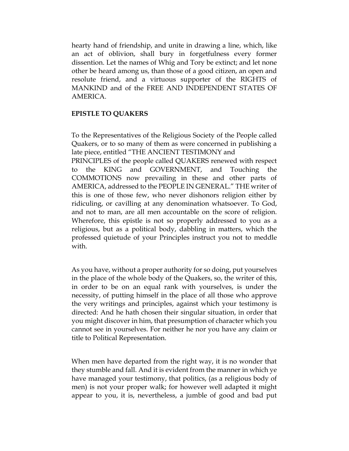hearty hand of friendship, and unite in drawing a line, which, like an act of oblivion, shall bury in forgetfulness every former dissention. Let the names of Whig and Tory be extinct; and let none other be heard among us, than those of a good citizen, an open and resolute friend, and a virtuous supporter of the RIGHTS of MANKIND and of the FREE AND INDEPENDENT STATES OF AMERICA.

## **EPISTLE TO QUAKERS**

To the Representatives of the Religious Society of the People called Quakers, or to so many of them as were concerned in publishing a late piece, entitled "THE ANCIENT TESTIMONY and

PRINCIPLES of the people called QUAKERS renewed with respect to the KING and GOVERNMENT, and Touching the COMMOTIONS now prevailing in these and other parts of AMERICA, addressed to the PEOPLE IN GENERAL." THE writer of this is one of those few, who never dishonors religion either by ridiculing, or cavilling at any denomination whatsoever. To God, and not to man, are all men accountable on the score of religion. Wherefore, this epistle is not so properly addressed to you as a religious, but as a political body, dabbling in matters, which the professed quietude of your Principles instruct you not to meddle with.

As you have, without a proper authority for so doing, put yourselves in the place of the whole body of the Quakers, so, the writer of this, in order to be on an equal rank with yourselves, is under the necessity, of putting himself in the place of all those who approve the very writings and principles, against which your testimony is directed: And he hath chosen their singular situation, in order that you might discover in him, that presumption of character which you cannot see in yourselves. For neither he nor you have any claim or title to Political Representation.

When men have departed from the right way, it is no wonder that they stumble and fall. And it is evident from the manner in which ye have managed your testimony, that politics, (as a religious body of men) is not your proper walk; for however well adapted it might appear to you, it is, nevertheless, a jumble of good and bad put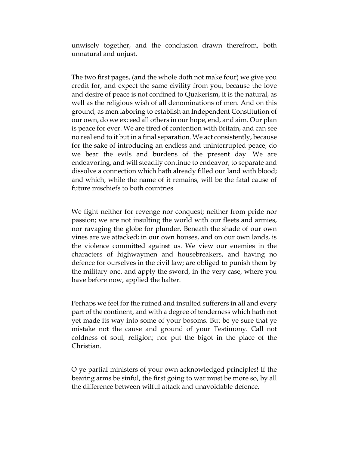unwisely together, and the conclusion drawn therefrom, both unnatural and unjust.

The two first pages, (and the whole doth not make four) we give you credit for, and expect the same civility from you, because the love and desire of peace is not confined to Quakerism, it is the natural, as well as the religious wish of all denominations of men. And on this ground, as men laboring to establish an Independent Constitution of our own, do we exceed all others in our hope, end, and aim. Our plan is peace for ever. We are tired of contention with Britain, and can see no real end to it but in a final separation. We act consistently, because for the sake of introducing an endless and uninterrupted peace, do we bear the evils and burdens of the present day. We are endeavoring, and will steadily continue to endeavor, to separate and dissolve a connection which hath already filled our land with blood; and which, while the name of it remains, will be the fatal cause of future mischiefs to both countries.

We fight neither for revenge nor conquest; neither from pride nor passion; we are not insulting the world with our fleets and armies, nor ravaging the globe for plunder. Beneath the shade of our own vines are we attacked; in our own houses, and on our own lands, is the violence committed against us. We view our enemies in the characters of highwaymen and housebreakers, and having no defence for ourselves in the civil law; are obliged to punish them by the military one, and apply the sword, in the very case, where you have before now, applied the halter.

Perhaps we feel for the ruined and insulted sufferers in all and every part of the continent, and with a degree of tenderness which hath not yet made its way into some of your bosoms. But be ye sure that ye mistake not the cause and ground of your Testimony. Call not coldness of soul, religion; nor put the bigot in the place of the Christian.

O ye partial ministers of your own acknowledged principles! If the bearing arms be sinful, the first going to war must be more so, by all the difference between wilful attack and unavoidable defence.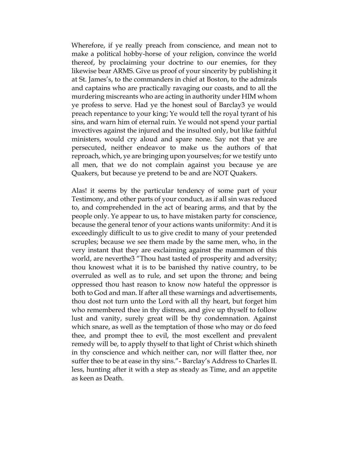Wherefore, if ye really preach from conscience, and mean not to make a political hobby-horse of your religion, convince the world thereof, by proclaiming your doctrine to our enemies, for they likewise bear ARMS. Give us proof of your sincerity by publishing it at St. James's, to the commanders in chief at Boston, to the admirals and captains who are practically ravaging our coasts, and to all the murdering miscreants who are acting in authority under HIM whom ye profess to serve. Had ye the honest soul of Barclay3 ye would preach repentance to your king; Ye would tell the royal tyrant of his sins, and warn him of eternal ruin. Ye would not spend your partial invectives against the injured and the insulted only, but like faithful ministers, would cry aloud and spare none. Say not that ye are persecuted, neither endeavor to make us the authors of that reproach, which, ye are bringing upon yourselves; for we testify unto all men, that we do not complain against you because ye are Quakers, but because ye pretend to be and are NOT Quakers.

Alas! it seems by the particular tendency of some part of your Testimony, and other parts of your conduct, as if all sin was reduced to, and comprehended in the act of bearing arms, and that by the people only. Ye appear to us, to have mistaken party for conscience, because the general tenor of your actions wants uniformity: And it is exceedingly difficult to us to give credit to many of your pretended scruples; because we see them made by the same men, who, in the very instant that they are exclaiming against the mammon of this world, are neverthe3 "Thou hast tasted of prosperity and adversity; thou knowest what it is to be banished thy native country, to be overruled as well as to rule, and set upon the throne; and being oppressed thou hast reason to know now hateful the oppressor is both to God and man. If after all these warnings and advertisements, thou dost not turn unto the Lord with all thy heart, but forget him who remembered thee in thy distress, and give up thyself to follow lust and vanity, surely great will be thy condemnation. Against which snare, as well as the temptation of those who may or do feed thee, and prompt thee to evil, the most excellent and prevalent remedy will be, to apply thyself to that light of Christ which shineth in thy conscience and which neither can, nor will flatter thee, nor suffer thee to be at ease in thy sins."- Barclay's Address to Charles II. less, hunting after it with a step as steady as Time, and an appetite as keen as Death.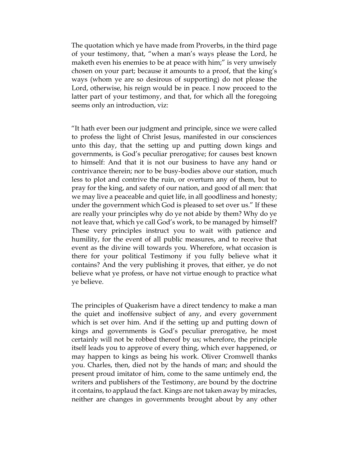The quotation which ye have made from Proverbs, in the third page of your testimony, that, "when a man's ways please the Lord, he maketh even his enemies to be at peace with him;" is very unwisely chosen on your part; because it amounts to a proof, that the king's ways (whom ye are so desirous of supporting) do not please the Lord, otherwise, his reign would be in peace. I now proceed to the latter part of your testimony, and that, for which all the foregoing seems only an introduction, viz:

"It hath ever been our judgment and principle, since we were called to profess the light of Christ Jesus, manifested in our consciences unto this day, that the setting up and putting down kings and governments, is God's peculiar prerogative; for causes best known to himself: And that it is not our business to have any hand or contrivance therein; nor to be busy-bodies above our station, much less to plot and contrive the ruin, or overturn any of them, but to pray for the king, and safety of our nation, and good of all men: that we may live a peaceable and quiet life, in all goodliness and honesty; under the government which God is pleased to set over us." If these are really your principles why do ye not abide by them? Why do ye not leave that, which ye call God's work, to be managed by himself? These very principles instruct you to wait with patience and humility, for the event of all public measures, and to receive that event as the divine will towards you. Wherefore, what occasion is there for your political Testimony if you fully believe what it contains? And the very publishing it proves, that either, ye do not believe what ye profess, or have not virtue enough to practice what ye believe.

The principles of Quakerism have a direct tendency to make a man the quiet and inoffensive subject of any, and every government which is set over him. And if the setting up and putting down of kings and governments is God's peculiar prerogative, he most certainly will not be robbed thereof by us; wherefore, the principle itself leads you to approve of every thing, which ever happened, or may happen to kings as being his work. Oliver Cromwell thanks you. Charles, then, died not by the hands of man; and should the present proud imitator of him, come to the same untimely end, the writers and publishers of the Testimony, are bound by the doctrine it contains, to applaud the fact. Kings are not taken away by miracles, neither are changes in governments brought about by any other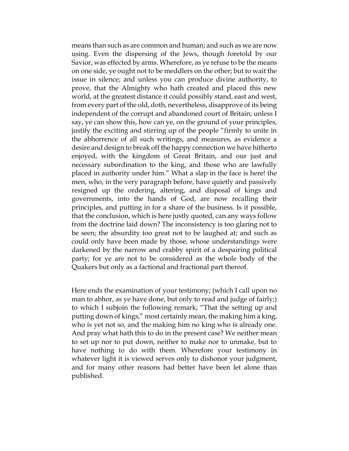means than such as are common and human; and such as we are now using. Even the dispersing of the Jews, though foretold by our Savior, was effected by arms. Wherefore, as ye refuse to be the means on one side, ye ought not to be meddlers on the other; but to wait the issue in silence; and unless you can produce divine authority, to prove, that the Almighty who hath created and placed this new world, at the greatest distance it could possibly stand, east and west, from every part of the old, doth, nevertheless, disapprove of its being independent of the corrupt and abandoned court of Britain; unless I say, ye can show this, how can ye, on the ground of your principles, justify the exciting and stirring up of the people "firmly to unite in the abhorrence of all such writings, and measures, as evidence a desire and design to break off the happy connection we have hitherto enjoyed, with the kingdom of Great Britain, and our just and necessary subordination to the king, and those who are lawfully placed in authority under him." What a slap in the face is here! the men, who, in the very paragraph before, have quietly and passively resigned up the ordering, altering, and disposal of kings and governments, into the hands of God, are now recalling their principles, and putting in for a share of the business. Is it possible, that the conclusion, which is here justly quoted, can any ways follow from the doctrine laid down? The inconsistency is too glaring not to be seen; the absurdity too great not to be laughed at; and such as could only have been made by those, whose understandings were darkened by the narrow and crabby spirit of a despairing political party; for ye are not to be considered as the whole body of the Quakers but only as a factional and fractional part thereof.

Here ends the examination of your testimony; (which I call upon no man to abhor, as ye have done, but only to read and judge of fairly;) to which I subjoin the following remark; "That the setting up and putting down of kings," most certainly mean, the making him a king, who is yet not so, and the making him no king who is already one. And pray what hath this to do in the present case? We neither mean to set up nor to put down, neither to make nor to unmake, but to have nothing to do with them. Wherefore your testimony in whatever light it is viewed serves only to dishonor your judgment, and for many other reasons had better have been let alone than published.